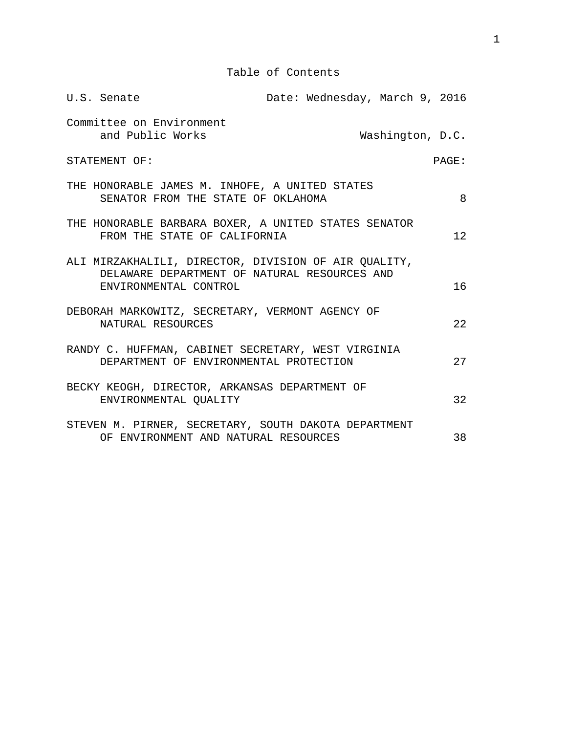Table of Contents

|                        | U.S. Senate                                                                                                                   |  | Date: Wednesday, March 9, 2016 |                  |    |
|------------------------|-------------------------------------------------------------------------------------------------------------------------------|--|--------------------------------|------------------|----|
|                        | Committee on Environment<br>and Public Works                                                                                  |  |                                | Washington, D.C. |    |
| STATEMENT OF:<br>PAGE: |                                                                                                                               |  |                                |                  |    |
|                        | THE HONORABLE JAMES M. INHOFE, A UNITED STATES<br>SENATOR FROM THE STATE OF OKLAHOMA                                          |  |                                |                  | 8  |
|                        | THE HONORABLE BARBARA BOXER, A UNITED STATES SENATOR<br>FROM THE STATE OF CALIFORNIA                                          |  |                                |                  | 12 |
|                        | ALI MIRZAKHALILI, DIRECTOR, DIVISION OF AIR QUALITY,<br>DELAWARE DEPARTMENT OF NATURAL RESOURCES AND<br>ENVIRONMENTAL CONTROL |  |                                |                  | 16 |
|                        | DEBORAH MARKOWITZ, SECRETARY, VERMONT AGENCY OF<br>NATURAL RESOURCES                                                          |  |                                |                  | 22 |
|                        | RANDY C. HUFFMAN, CABINET SECRETARY, WEST VIRGINIA<br>DEPARTMENT OF ENVIRONMENTAL PROTECTION                                  |  |                                |                  | 27 |
|                        | BECKY KEOGH, DIRECTOR, ARKANSAS DEPARTMENT OF<br>ENVIRONMENTAL QUALITY                                                        |  |                                |                  | 32 |
|                        | STEVEN M. PIRNER, SECRETARY, SOUTH DAKOTA DEPARTMENT<br>OF ENVIRONMENT AND NATURAL RESOURCES                                  |  |                                |                  | 38 |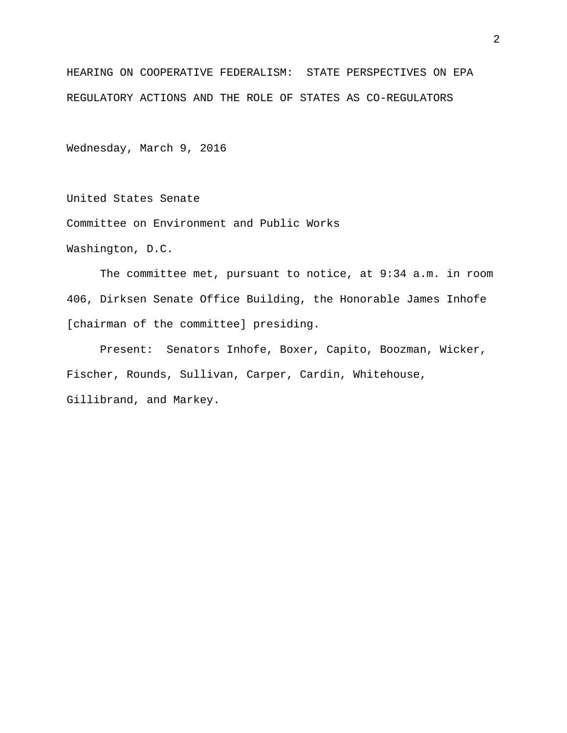HEARING ON COOPERATIVE FEDERALISM: STATE PERSPECTIVES ON EPA REGULATORY ACTIONS AND THE ROLE OF STATES AS CO-REGULATORS

Wednesday, March 9, 2016

United States Senate

Committee on Environment and Public Works

Washington, D.C.

The committee met, pursuant to notice, at 9:34 a.m. in room 406, Dirksen Senate Office Building, the Honorable James Inhofe [chairman of the committee] presiding.

Present: Senators Inhofe, Boxer, Capito, Boozman, Wicker, Fischer, Rounds, Sullivan, Carper, Cardin, Whitehouse, Gillibrand, and Markey.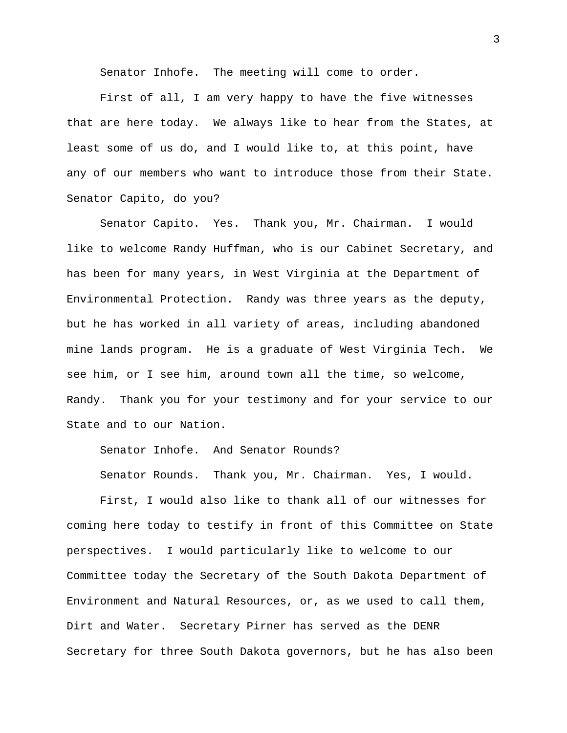Senator Inhofe. The meeting will come to order.

First of all, I am very happy to have the five witnesses that are here today. We always like to hear from the States, at least some of us do, and I would like to, at this point, have any of our members who want to introduce those from their State. Senator Capito, do you?

Senator Capito. Yes. Thank you, Mr. Chairman. I would like to welcome Randy Huffman, who is our Cabinet Secretary, and has been for many years, in West Virginia at the Department of Environmental Protection. Randy was three years as the deputy, but he has worked in all variety of areas, including abandoned mine lands program. He is a graduate of West Virginia Tech. We see him, or I see him, around town all the time, so welcome, Randy. Thank you for your testimony and for your service to our State and to our Nation.

Senator Inhofe. And Senator Rounds?

Senator Rounds. Thank you, Mr. Chairman. Yes, I would.

First, I would also like to thank all of our witnesses for coming here today to testify in front of this Committee on State perspectives. I would particularly like to welcome to our Committee today the Secretary of the South Dakota Department of Environment and Natural Resources, or, as we used to call them, Dirt and Water. Secretary Pirner has served as the DENR Secretary for three South Dakota governors, but he has also been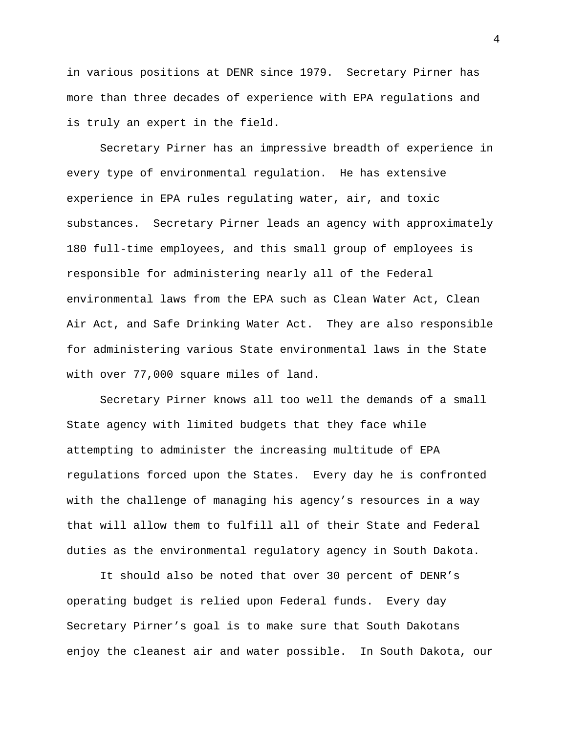in various positions at DENR since 1979. Secretary Pirner has more than three decades of experience with EPA regulations and is truly an expert in the field.

Secretary Pirner has an impressive breadth of experience in every type of environmental regulation. He has extensive experience in EPA rules regulating water, air, and toxic substances. Secretary Pirner leads an agency with approximately 180 full-time employees, and this small group of employees is responsible for administering nearly all of the Federal environmental laws from the EPA such as Clean Water Act, Clean Air Act, and Safe Drinking Water Act. They are also responsible for administering various State environmental laws in the State with over 77,000 square miles of land.

Secretary Pirner knows all too well the demands of a small State agency with limited budgets that they face while attempting to administer the increasing multitude of EPA regulations forced upon the States. Every day he is confronted with the challenge of managing his agency's resources in a way that will allow them to fulfill all of their State and Federal duties as the environmental regulatory agency in South Dakota.

It should also be noted that over 30 percent of DENR's operating budget is relied upon Federal funds. Every day Secretary Pirner's goal is to make sure that South Dakotans enjoy the cleanest air and water possible. In South Dakota, our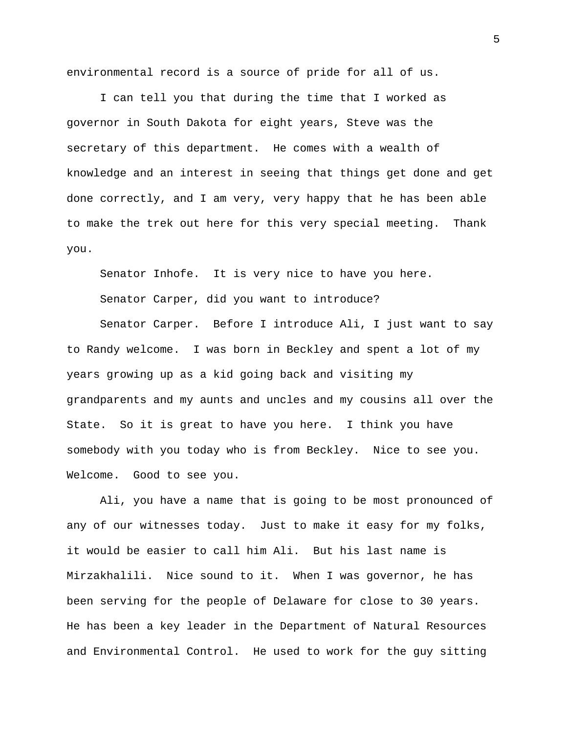environmental record is a source of pride for all of us.

I can tell you that during the time that I worked as governor in South Dakota for eight years, Steve was the secretary of this department. He comes with a wealth of knowledge and an interest in seeing that things get done and get done correctly, and I am very, very happy that he has been able to make the trek out here for this very special meeting. Thank you.

Senator Inhofe. It is very nice to have you here.

Senator Carper, did you want to introduce?

Senator Carper. Before I introduce Ali, I just want to say to Randy welcome. I was born in Beckley and spent a lot of my years growing up as a kid going back and visiting my grandparents and my aunts and uncles and my cousins all over the State. So it is great to have you here. I think you have somebody with you today who is from Beckley. Nice to see you. Welcome. Good to see you.

Ali, you have a name that is going to be most pronounced of any of our witnesses today. Just to make it easy for my folks, it would be easier to call him Ali. But his last name is Mirzakhalili. Nice sound to it. When I was governor, he has been serving for the people of Delaware for close to 30 years. He has been a key leader in the Department of Natural Resources and Environmental Control. He used to work for the guy sitting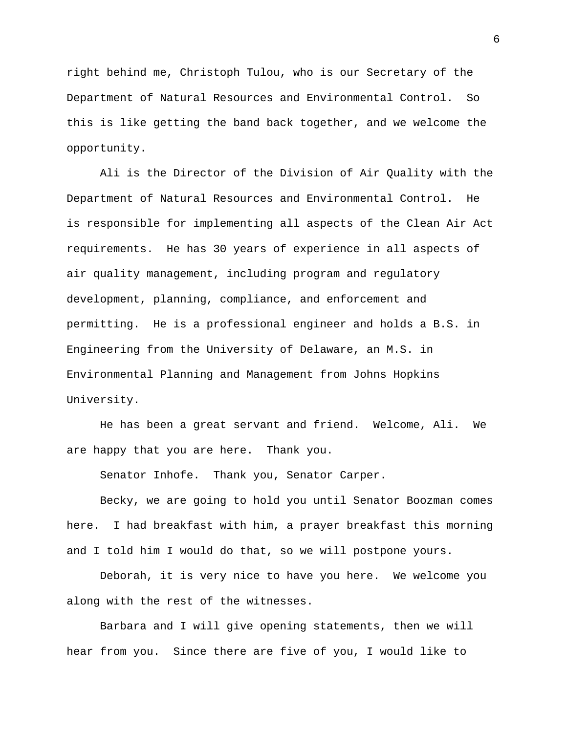right behind me, Christoph Tulou, who is our Secretary of the Department of Natural Resources and Environmental Control. So this is like getting the band back together, and we welcome the opportunity.

Ali is the Director of the Division of Air Quality with the Department of Natural Resources and Environmental Control. He is responsible for implementing all aspects of the Clean Air Act requirements. He has 30 years of experience in all aspects of air quality management, including program and regulatory development, planning, compliance, and enforcement and permitting. He is a professional engineer and holds a B.S. in Engineering from the University of Delaware, an M.S. in Environmental Planning and Management from Johns Hopkins University.

He has been a great servant and friend. Welcome, Ali. We are happy that you are here. Thank you.

Senator Inhofe. Thank you, Senator Carper.

Becky, we are going to hold you until Senator Boozman comes here. I had breakfast with him, a prayer breakfast this morning and I told him I would do that, so we will postpone yours.

Deborah, it is very nice to have you here. We welcome you along with the rest of the witnesses.

Barbara and I will give opening statements, then we will hear from you. Since there are five of you, I would like to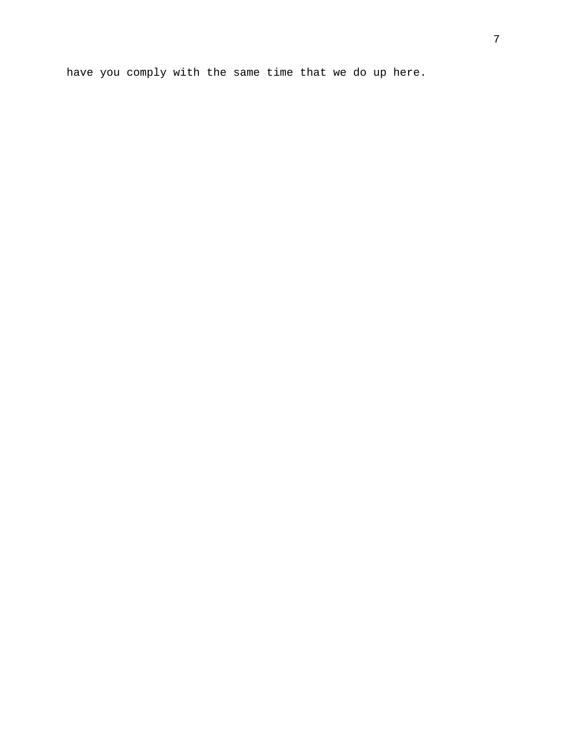have you comply with the same time that we do up here.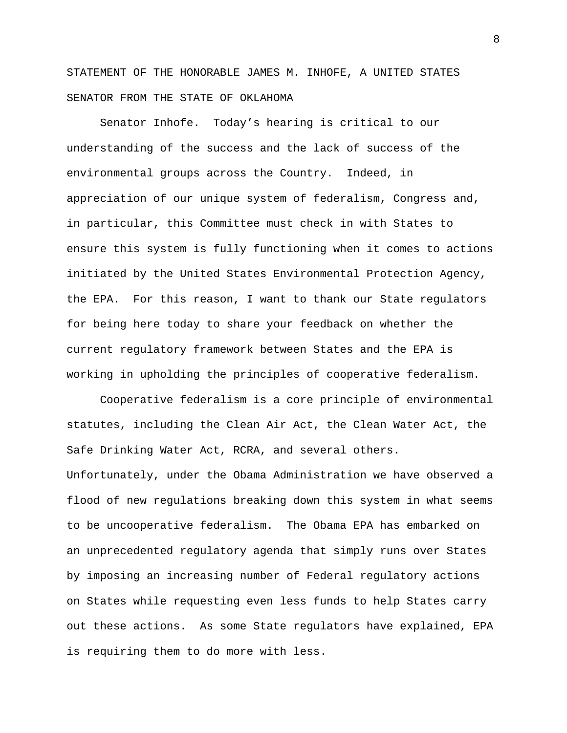STATEMENT OF THE HONORABLE JAMES M. INHOFE, A UNITED STATES SENATOR FROM THE STATE OF OKLAHOMA

Senator Inhofe. Today's hearing is critical to our understanding of the success and the lack of success of the environmental groups across the Country. Indeed, in appreciation of our unique system of federalism, Congress and, in particular, this Committee must check in with States to ensure this system is fully functioning when it comes to actions initiated by the United States Environmental Protection Agency, the EPA. For this reason, I want to thank our State regulators for being here today to share your feedback on whether the current regulatory framework between States and the EPA is working in upholding the principles of cooperative federalism.

Cooperative federalism is a core principle of environmental statutes, including the Clean Air Act, the Clean Water Act, the Safe Drinking Water Act, RCRA, and several others. Unfortunately, under the Obama Administration we have observed a flood of new regulations breaking down this system in what seems to be uncooperative federalism. The Obama EPA has embarked on an unprecedented regulatory agenda that simply runs over States by imposing an increasing number of Federal regulatory actions on States while requesting even less funds to help States carry out these actions. As some State regulators have explained, EPA is requiring them to do more with less.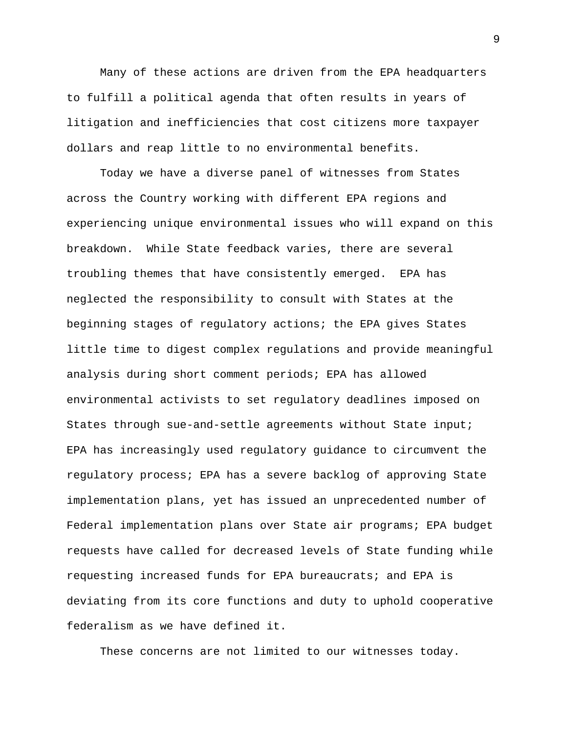Many of these actions are driven from the EPA headquarters to fulfill a political agenda that often results in years of litigation and inefficiencies that cost citizens more taxpayer dollars and reap little to no environmental benefits.

Today we have a diverse panel of witnesses from States across the Country working with different EPA regions and experiencing unique environmental issues who will expand on this breakdown. While State feedback varies, there are several troubling themes that have consistently emerged. EPA has neglected the responsibility to consult with States at the beginning stages of regulatory actions; the EPA gives States little time to digest complex regulations and provide meaningful analysis during short comment periods; EPA has allowed environmental activists to set regulatory deadlines imposed on States through sue-and-settle agreements without State input; EPA has increasingly used regulatory guidance to circumvent the regulatory process; EPA has a severe backlog of approving State implementation plans, yet has issued an unprecedented number of Federal implementation plans over State air programs; EPA budget requests have called for decreased levels of State funding while requesting increased funds for EPA bureaucrats; and EPA is deviating from its core functions and duty to uphold cooperative federalism as we have defined it.

These concerns are not limited to our witnesses today.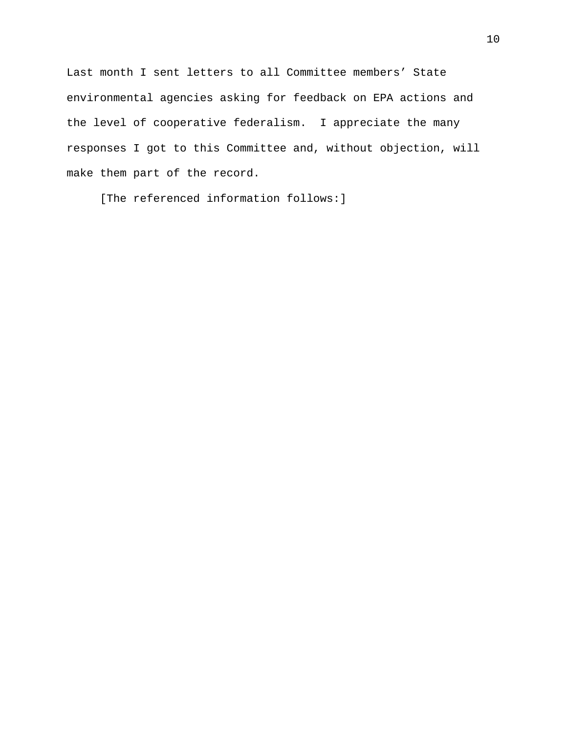Last month I sent letters to all Committee members' State environmental agencies asking for feedback on EPA actions and the level of cooperative federalism. I appreciate the many responses I got to this Committee and, without objection, will make them part of the record.

[The referenced information follows:]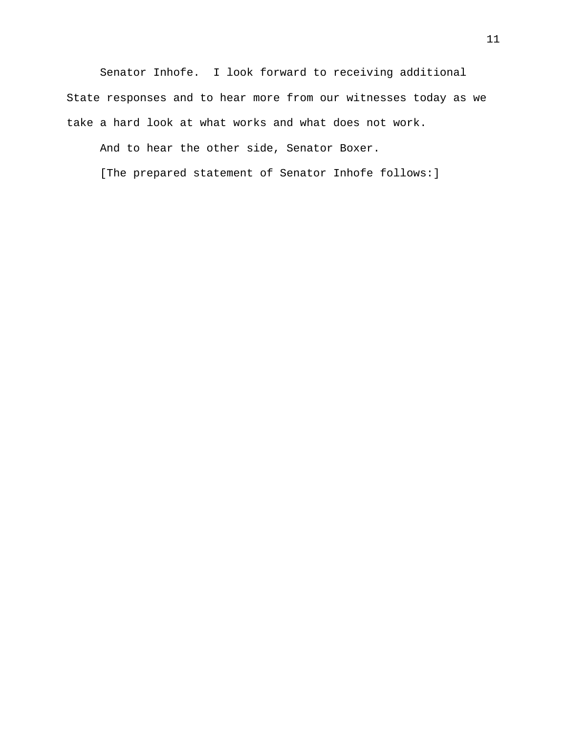Senator Inhofe. I look forward to receiving additional State responses and to hear more from our witnesses today as we take a hard look at what works and what does not work.

And to hear the other side, Senator Boxer.

[The prepared statement of Senator Inhofe follows:]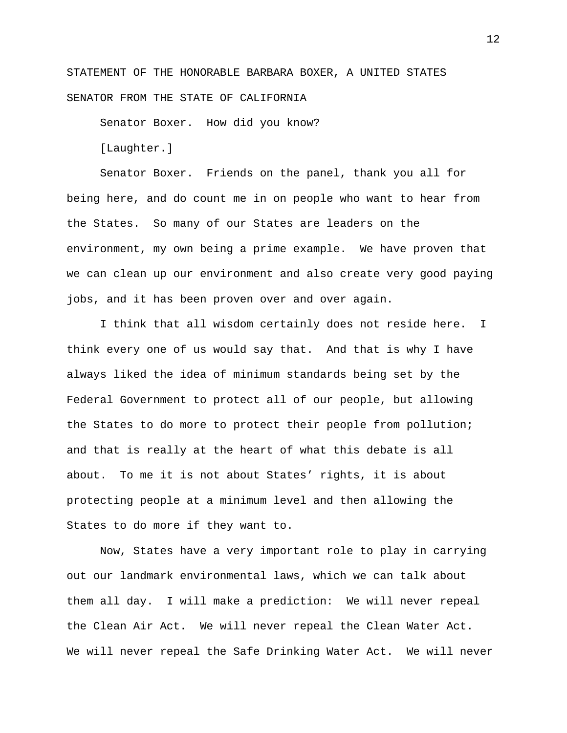STATEMENT OF THE HONORABLE BARBARA BOXER, A UNITED STATES SENATOR FROM THE STATE OF CALIFORNIA

Senator Boxer. How did you know?

[Laughter.]

Senator Boxer. Friends on the panel, thank you all for being here, and do count me in on people who want to hear from the States. So many of our States are leaders on the environment, my own being a prime example. We have proven that we can clean up our environment and also create very good paying jobs, and it has been proven over and over again.

I think that all wisdom certainly does not reside here. I think every one of us would say that. And that is why I have always liked the idea of minimum standards being set by the Federal Government to protect all of our people, but allowing the States to do more to protect their people from pollution; and that is really at the heart of what this debate is all about. To me it is not about States' rights, it is about protecting people at a minimum level and then allowing the States to do more if they want to.

Now, States have a very important role to play in carrying out our landmark environmental laws, which we can talk about them all day. I will make a prediction: We will never repeal the Clean Air Act. We will never repeal the Clean Water Act. We will never repeal the Safe Drinking Water Act. We will never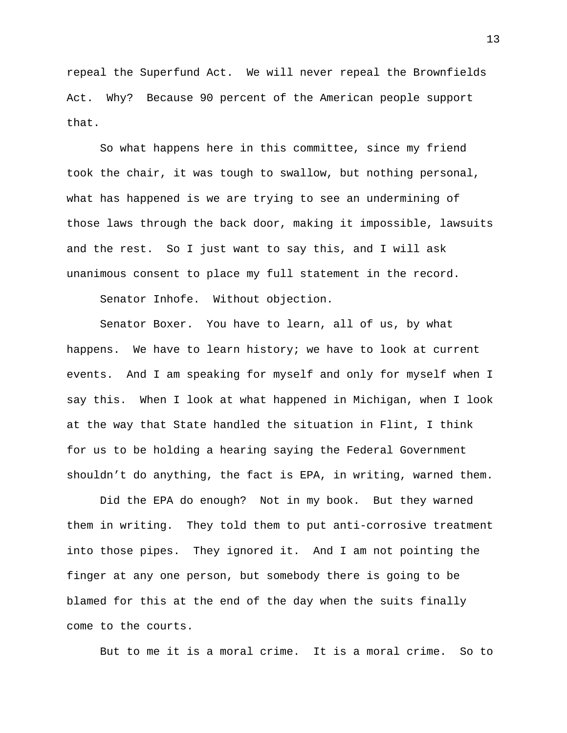repeal the Superfund Act. We will never repeal the Brownfields Act. Why? Because 90 percent of the American people support that.

So what happens here in this committee, since my friend took the chair, it was tough to swallow, but nothing personal, what has happened is we are trying to see an undermining of those laws through the back door, making it impossible, lawsuits and the rest. So I just want to say this, and I will ask unanimous consent to place my full statement in the record.

Senator Inhofe. Without objection.

Senator Boxer. You have to learn, all of us, by what happens. We have to learn history; we have to look at current events. And I am speaking for myself and only for myself when I say this. When I look at what happened in Michigan, when I look at the way that State handled the situation in Flint, I think for us to be holding a hearing saying the Federal Government shouldn't do anything, the fact is EPA, in writing, warned them.

Did the EPA do enough? Not in my book. But they warned them in writing. They told them to put anti-corrosive treatment into those pipes. They ignored it. And I am not pointing the finger at any one person, but somebody there is going to be blamed for this at the end of the day when the suits finally come to the courts.

But to me it is a moral crime. It is a moral crime. So to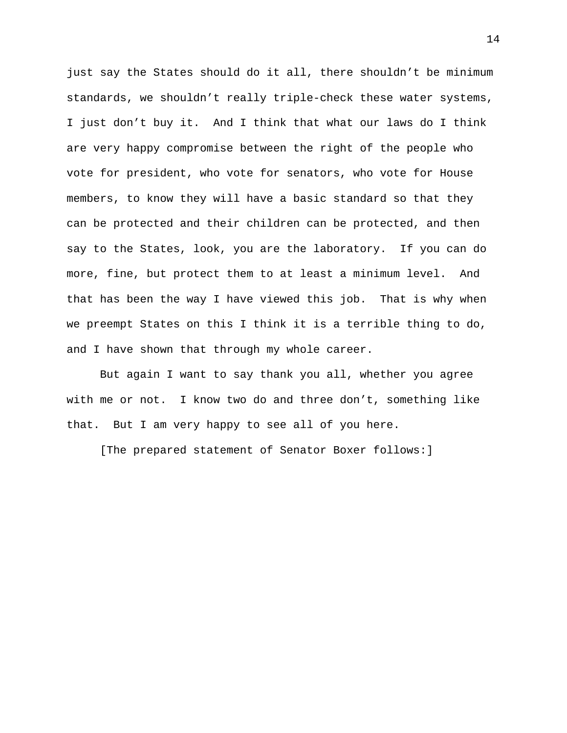just say the States should do it all, there shouldn't be minimum standards, we shouldn't really triple-check these water systems, I just don't buy it. And I think that what our laws do I think are very happy compromise between the right of the people who vote for president, who vote for senators, who vote for House members, to know they will have a basic standard so that they can be protected and their children can be protected, and then say to the States, look, you are the laboratory. If you can do more, fine, but protect them to at least a minimum level. And that has been the way I have viewed this job. That is why when we preempt States on this I think it is a terrible thing to do, and I have shown that through my whole career.

But again I want to say thank you all, whether you agree with me or not. I know two do and three don't, something like that. But I am very happy to see all of you here.

[The prepared statement of Senator Boxer follows:]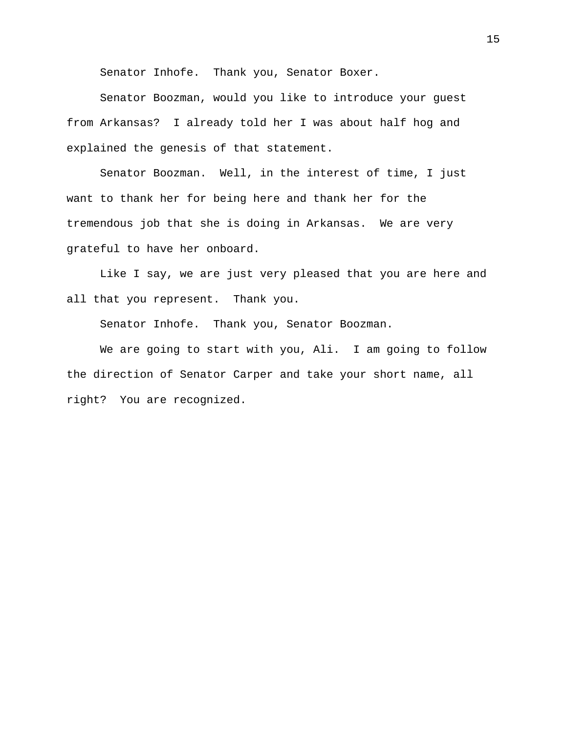Senator Inhofe. Thank you, Senator Boxer.

Senator Boozman, would you like to introduce your guest from Arkansas? I already told her I was about half hog and explained the genesis of that statement.

Senator Boozman. Well, in the interest of time, I just want to thank her for being here and thank her for the tremendous job that she is doing in Arkansas. We are very grateful to have her onboard.

Like I say, we are just very pleased that you are here and all that you represent. Thank you.

Senator Inhofe. Thank you, Senator Boozman.

We are going to start with you, Ali. I am going to follow the direction of Senator Carper and take your short name, all right? You are recognized.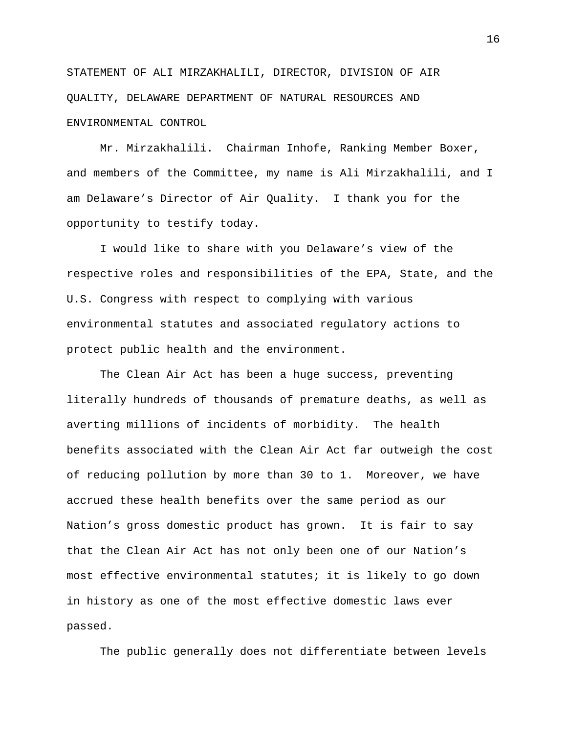STATEMENT OF ALI MIRZAKHALILI, DIRECTOR, DIVISION OF AIR QUALITY, DELAWARE DEPARTMENT OF NATURAL RESOURCES AND ENVIRONMENTAL CONTROL

Mr. Mirzakhalili. Chairman Inhofe, Ranking Member Boxer, and members of the Committee, my name is Ali Mirzakhalili, and I am Delaware's Director of Air Quality. I thank you for the opportunity to testify today.

I would like to share with you Delaware's view of the respective roles and responsibilities of the EPA, State, and the U.S. Congress with respect to complying with various environmental statutes and associated regulatory actions to protect public health and the environment.

The Clean Air Act has been a huge success, preventing literally hundreds of thousands of premature deaths, as well as averting millions of incidents of morbidity. The health benefits associated with the Clean Air Act far outweigh the cost of reducing pollution by more than 30 to 1. Moreover, we have accrued these health benefits over the same period as our Nation's gross domestic product has grown. It is fair to say that the Clean Air Act has not only been one of our Nation's most effective environmental statutes; it is likely to go down in history as one of the most effective domestic laws ever passed.

The public generally does not differentiate between levels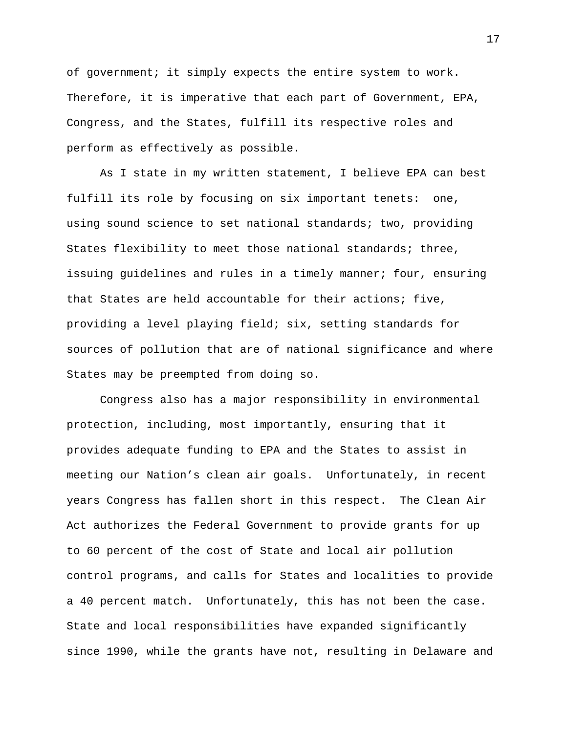of government; it simply expects the entire system to work. Therefore, it is imperative that each part of Government, EPA, Congress, and the States, fulfill its respective roles and perform as effectively as possible.

As I state in my written statement, I believe EPA can best fulfill its role by focusing on six important tenets: one, using sound science to set national standards; two, providing States flexibility to meet those national standards; three, issuing guidelines and rules in a timely manner; four, ensuring that States are held accountable for their actions; five, providing a level playing field; six, setting standards for sources of pollution that are of national significance and where States may be preempted from doing so.

Congress also has a major responsibility in environmental protection, including, most importantly, ensuring that it provides adequate funding to EPA and the States to assist in meeting our Nation's clean air goals. Unfortunately, in recent years Congress has fallen short in this respect. The Clean Air Act authorizes the Federal Government to provide grants for up to 60 percent of the cost of State and local air pollution control programs, and calls for States and localities to provide a 40 percent match. Unfortunately, this has not been the case. State and local responsibilities have expanded significantly since 1990, while the grants have not, resulting in Delaware and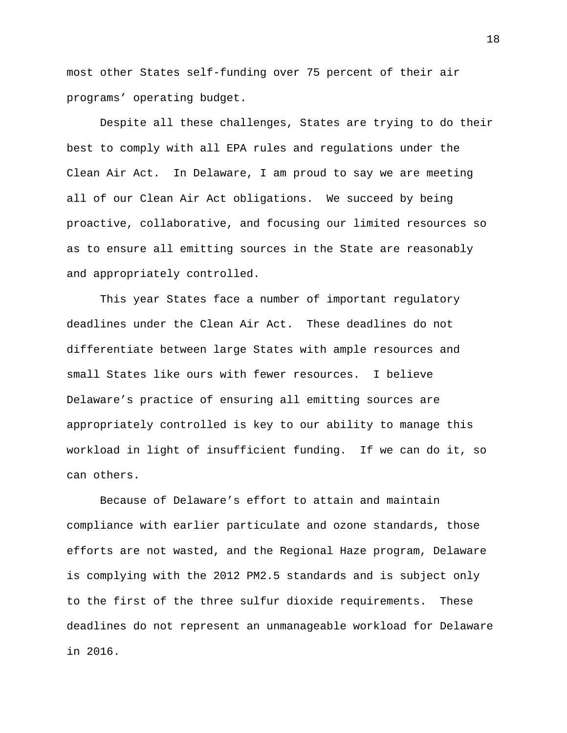most other States self-funding over 75 percent of their air programs' operating budget.

Despite all these challenges, States are trying to do their best to comply with all EPA rules and regulations under the Clean Air Act. In Delaware, I am proud to say we are meeting all of our Clean Air Act obligations. We succeed by being proactive, collaborative, and focusing our limited resources so as to ensure all emitting sources in the State are reasonably and appropriately controlled.

This year States face a number of important regulatory deadlines under the Clean Air Act. These deadlines do not differentiate between large States with ample resources and small States like ours with fewer resources. I believe Delaware's practice of ensuring all emitting sources are appropriately controlled is key to our ability to manage this workload in light of insufficient funding. If we can do it, so can others.

Because of Delaware's effort to attain and maintain compliance with earlier particulate and ozone standards, those efforts are not wasted, and the Regional Haze program, Delaware is complying with the 2012 PM2.5 standards and is subject only to the first of the three sulfur dioxide requirements. These deadlines do not represent an unmanageable workload for Delaware in 2016.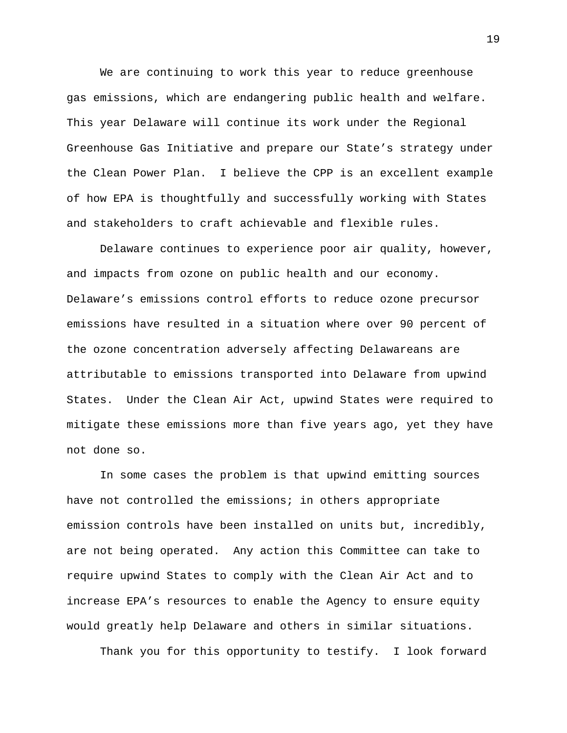We are continuing to work this year to reduce greenhouse gas emissions, which are endangering public health and welfare. This year Delaware will continue its work under the Regional Greenhouse Gas Initiative and prepare our State's strategy under the Clean Power Plan. I believe the CPP is an excellent example of how EPA is thoughtfully and successfully working with States and stakeholders to craft achievable and flexible rules.

Delaware continues to experience poor air quality, however, and impacts from ozone on public health and our economy. Delaware's emissions control efforts to reduce ozone precursor emissions have resulted in a situation where over 90 percent of the ozone concentration adversely affecting Delawareans are attributable to emissions transported into Delaware from upwind States. Under the Clean Air Act, upwind States were required to mitigate these emissions more than five years ago, yet they have not done so.

In some cases the problem is that upwind emitting sources have not controlled the emissions; in others appropriate emission controls have been installed on units but, incredibly, are not being operated. Any action this Committee can take to require upwind States to comply with the Clean Air Act and to increase EPA's resources to enable the Agency to ensure equity would greatly help Delaware and others in similar situations.

Thank you for this opportunity to testify. I look forward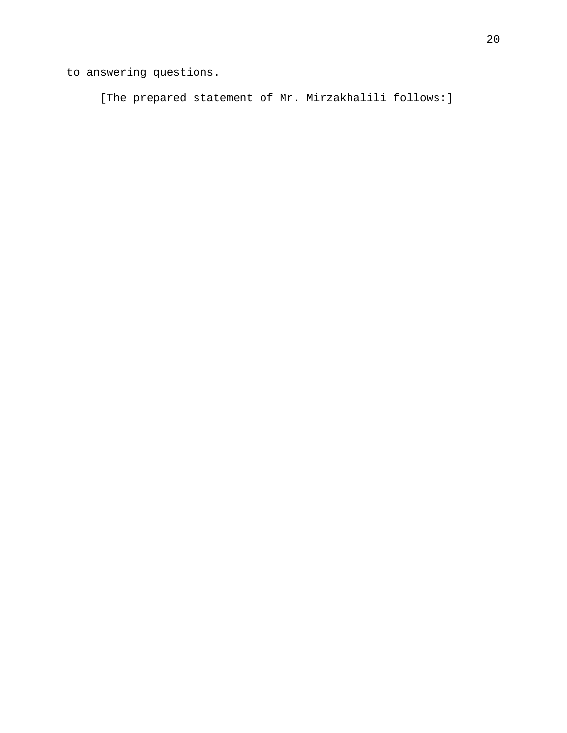to answering questions.

[The prepared statement of Mr. Mirzakhalili follows:]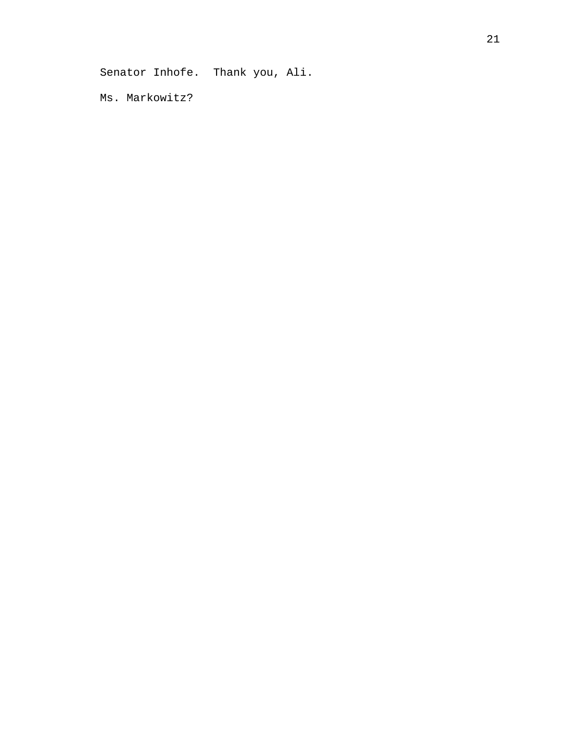Senator Inhofe. Thank you, Ali.

Ms. Markowitz?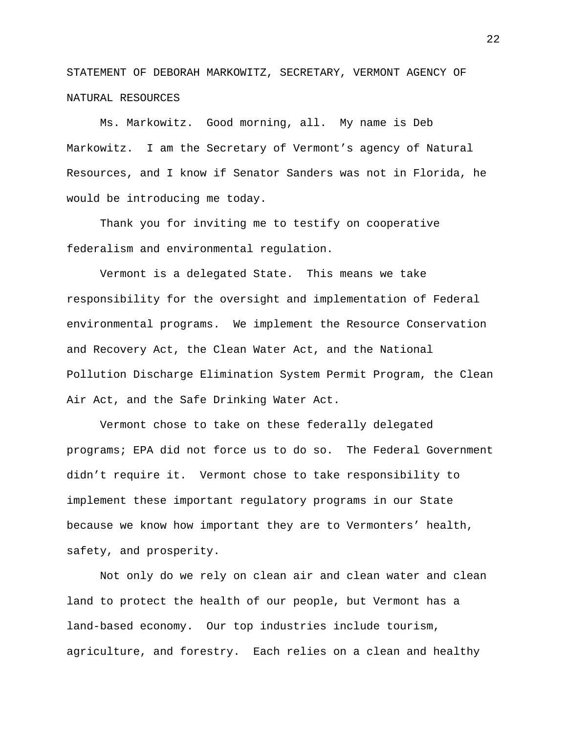STATEMENT OF DEBORAH MARKOWITZ, SECRETARY, VERMONT AGENCY OF NATURAL RESOURCES

Ms. Markowitz. Good morning, all. My name is Deb Markowitz. I am the Secretary of Vermont's agency of Natural Resources, and I know if Senator Sanders was not in Florida, he would be introducing me today.

Thank you for inviting me to testify on cooperative federalism and environmental regulation.

Vermont is a delegated State. This means we take responsibility for the oversight and implementation of Federal environmental programs. We implement the Resource Conservation and Recovery Act, the Clean Water Act, and the National Pollution Discharge Elimination System Permit Program, the Clean Air Act, and the Safe Drinking Water Act.

Vermont chose to take on these federally delegated programs; EPA did not force us to do so. The Federal Government didn't require it. Vermont chose to take responsibility to implement these important regulatory programs in our State because we know how important they are to Vermonters' health, safety, and prosperity.

Not only do we rely on clean air and clean water and clean land to protect the health of our people, but Vermont has a land-based economy. Our top industries include tourism, agriculture, and forestry. Each relies on a clean and healthy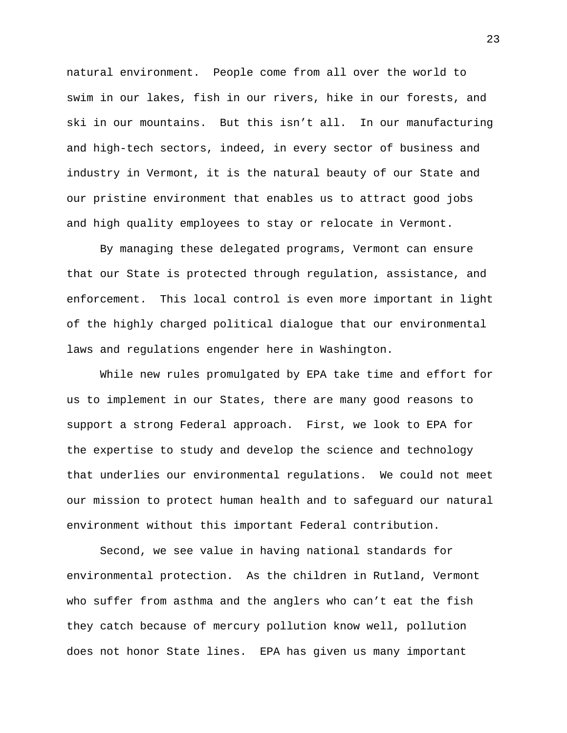natural environment. People come from all over the world to swim in our lakes, fish in our rivers, hike in our forests, and ski in our mountains. But this isn't all. In our manufacturing and high-tech sectors, indeed, in every sector of business and industry in Vermont, it is the natural beauty of our State and our pristine environment that enables us to attract good jobs and high quality employees to stay or relocate in Vermont.

By managing these delegated programs, Vermont can ensure that our State is protected through regulation, assistance, and enforcement. This local control is even more important in light of the highly charged political dialogue that our environmental laws and regulations engender here in Washington.

While new rules promulgated by EPA take time and effort for us to implement in our States, there are many good reasons to support a strong Federal approach. First, we look to EPA for the expertise to study and develop the science and technology that underlies our environmental regulations. We could not meet our mission to protect human health and to safeguard our natural environment without this important Federal contribution.

Second, we see value in having national standards for environmental protection. As the children in Rutland, Vermont who suffer from asthma and the anglers who can't eat the fish they catch because of mercury pollution know well, pollution does not honor State lines. EPA has given us many important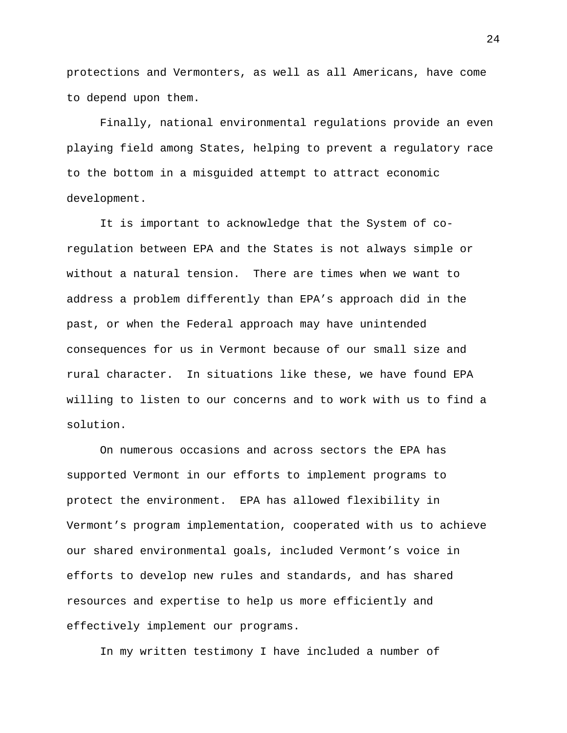protections and Vermonters, as well as all Americans, have come to depend upon them.

Finally, national environmental regulations provide an even playing field among States, helping to prevent a regulatory race to the bottom in a misguided attempt to attract economic development.

It is important to acknowledge that the System of coregulation between EPA and the States is not always simple or without a natural tension. There are times when we want to address a problem differently than EPA's approach did in the past, or when the Federal approach may have unintended consequences for us in Vermont because of our small size and rural character. In situations like these, we have found EPA willing to listen to our concerns and to work with us to find a solution.

On numerous occasions and across sectors the EPA has supported Vermont in our efforts to implement programs to protect the environment. EPA has allowed flexibility in Vermont's program implementation, cooperated with us to achieve our shared environmental goals, included Vermont's voice in efforts to develop new rules and standards, and has shared resources and expertise to help us more efficiently and effectively implement our programs.

In my written testimony I have included a number of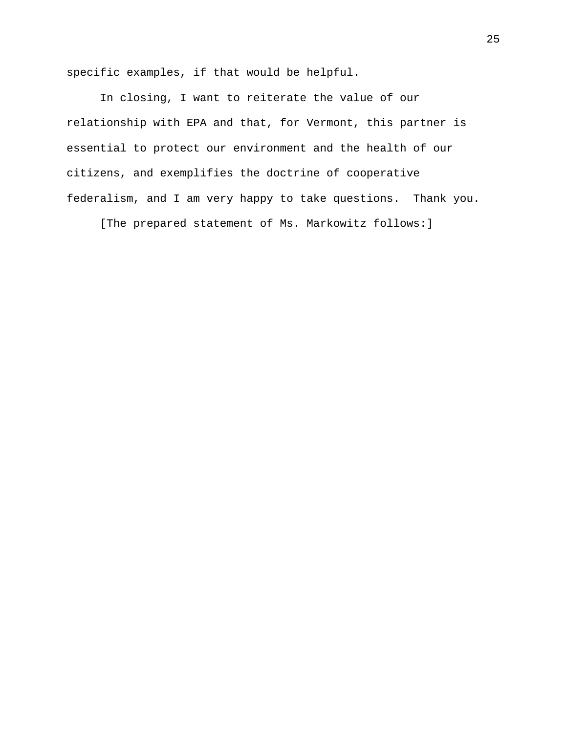specific examples, if that would be helpful.

In closing, I want to reiterate the value of our relationship with EPA and that, for Vermont, this partner is essential to protect our environment and the health of our citizens, and exemplifies the doctrine of cooperative federalism, and I am very happy to take questions. Thank you.

[The prepared statement of Ms. Markowitz follows:]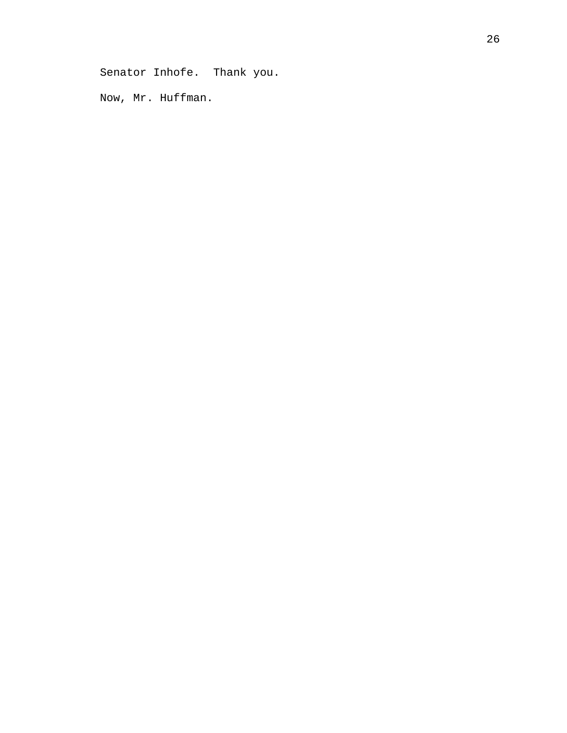Senator Inhofe. Thank you.

Now, Mr. Huffman.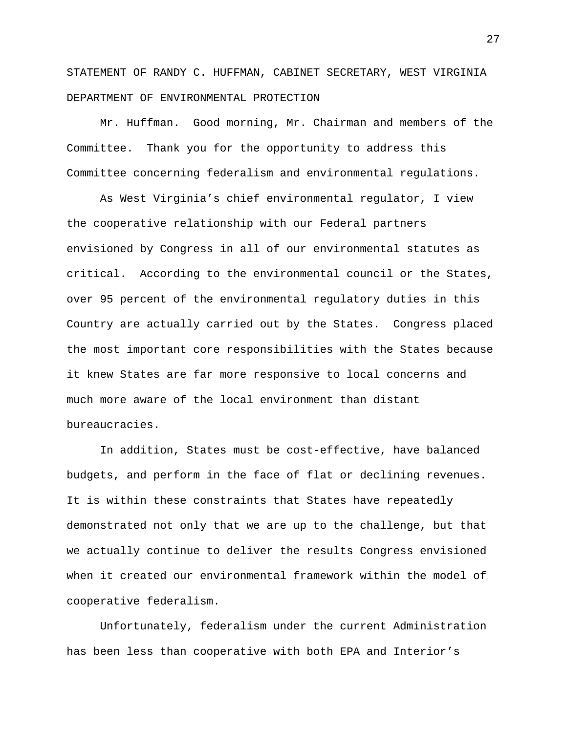STATEMENT OF RANDY C. HUFFMAN, CABINET SECRETARY, WEST VIRGINIA DEPARTMENT OF ENVIRONMENTAL PROTECTION

Mr. Huffman. Good morning, Mr. Chairman and members of the Committee. Thank you for the opportunity to address this Committee concerning federalism and environmental regulations.

As West Virginia's chief environmental regulator, I view the cooperative relationship with our Federal partners envisioned by Congress in all of our environmental statutes as critical. According to the environmental council or the States, over 95 percent of the environmental regulatory duties in this Country are actually carried out by the States. Congress placed the most important core responsibilities with the States because it knew States are far more responsive to local concerns and much more aware of the local environment than distant bureaucracies.

In addition, States must be cost-effective, have balanced budgets, and perform in the face of flat or declining revenues. It is within these constraints that States have repeatedly demonstrated not only that we are up to the challenge, but that we actually continue to deliver the results Congress envisioned when it created our environmental framework within the model of cooperative federalism.

Unfortunately, federalism under the current Administration has been less than cooperative with both EPA and Interior's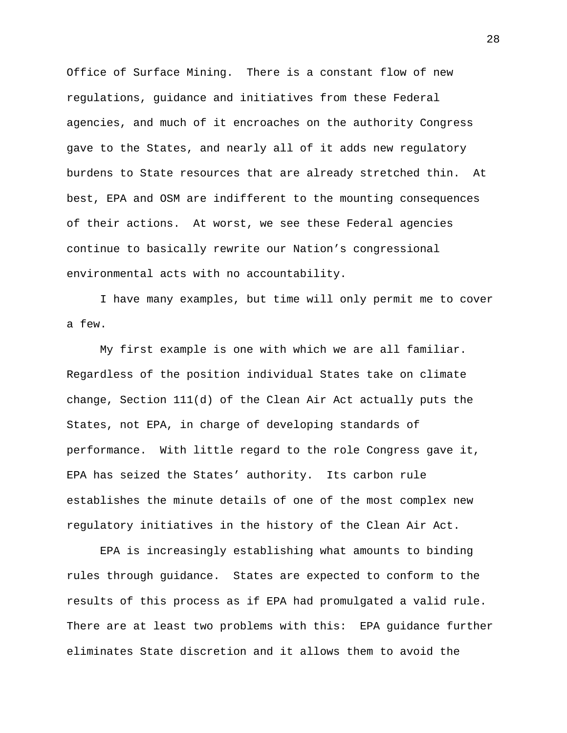Office of Surface Mining. There is a constant flow of new regulations, guidance and initiatives from these Federal agencies, and much of it encroaches on the authority Congress gave to the States, and nearly all of it adds new regulatory burdens to State resources that are already stretched thin. At best, EPA and OSM are indifferent to the mounting consequences of their actions. At worst, we see these Federal agencies continue to basically rewrite our Nation's congressional environmental acts with no accountability.

I have many examples, but time will only permit me to cover a few.

My first example is one with which we are all familiar. Regardless of the position individual States take on climate change, Section 111(d) of the Clean Air Act actually puts the States, not EPA, in charge of developing standards of performance. With little regard to the role Congress gave it, EPA has seized the States' authority. Its carbon rule establishes the minute details of one of the most complex new regulatory initiatives in the history of the Clean Air Act.

EPA is increasingly establishing what amounts to binding rules through guidance. States are expected to conform to the results of this process as if EPA had promulgated a valid rule. There are at least two problems with this: EPA guidance further eliminates State discretion and it allows them to avoid the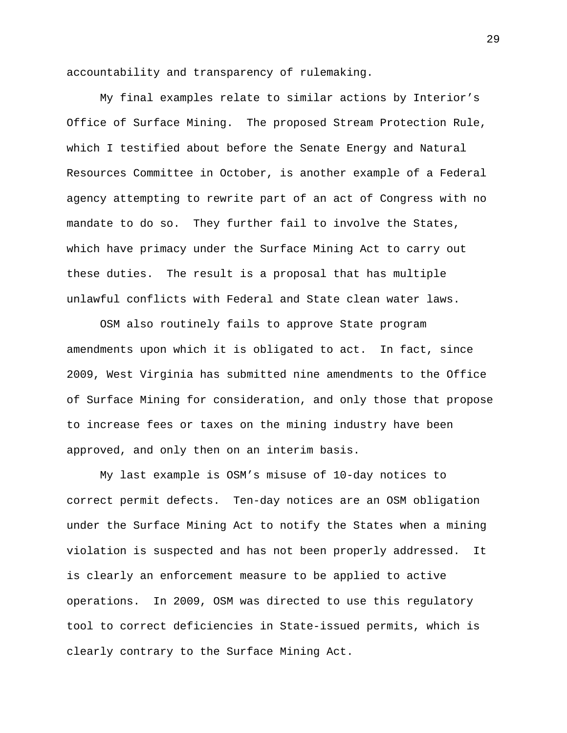accountability and transparency of rulemaking.

My final examples relate to similar actions by Interior's Office of Surface Mining. The proposed Stream Protection Rule, which I testified about before the Senate Energy and Natural Resources Committee in October, is another example of a Federal agency attempting to rewrite part of an act of Congress with no mandate to do so. They further fail to involve the States, which have primacy under the Surface Mining Act to carry out these duties. The result is a proposal that has multiple unlawful conflicts with Federal and State clean water laws.

OSM also routinely fails to approve State program amendments upon which it is obligated to act. In fact, since 2009, West Virginia has submitted nine amendments to the Office of Surface Mining for consideration, and only those that propose to increase fees or taxes on the mining industry have been approved, and only then on an interim basis.

My last example is OSM's misuse of 10-day notices to correct permit defects. Ten-day notices are an OSM obligation under the Surface Mining Act to notify the States when a mining violation is suspected and has not been properly addressed. It is clearly an enforcement measure to be applied to active operations. In 2009, OSM was directed to use this regulatory tool to correct deficiencies in State-issued permits, which is clearly contrary to the Surface Mining Act.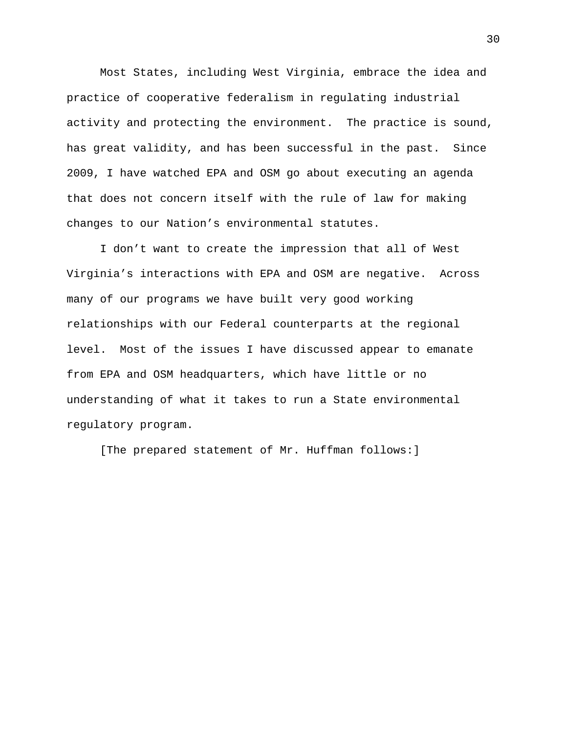Most States, including West Virginia, embrace the idea and practice of cooperative federalism in regulating industrial activity and protecting the environment. The practice is sound, has great validity, and has been successful in the past. Since 2009, I have watched EPA and OSM go about executing an agenda that does not concern itself with the rule of law for making changes to our Nation's environmental statutes.

I don't want to create the impression that all of West Virginia's interactions with EPA and OSM are negative. Across many of our programs we have built very good working relationships with our Federal counterparts at the regional level. Most of the issues I have discussed appear to emanate from EPA and OSM headquarters, which have little or no understanding of what it takes to run a State environmental regulatory program.

[The prepared statement of Mr. Huffman follows:]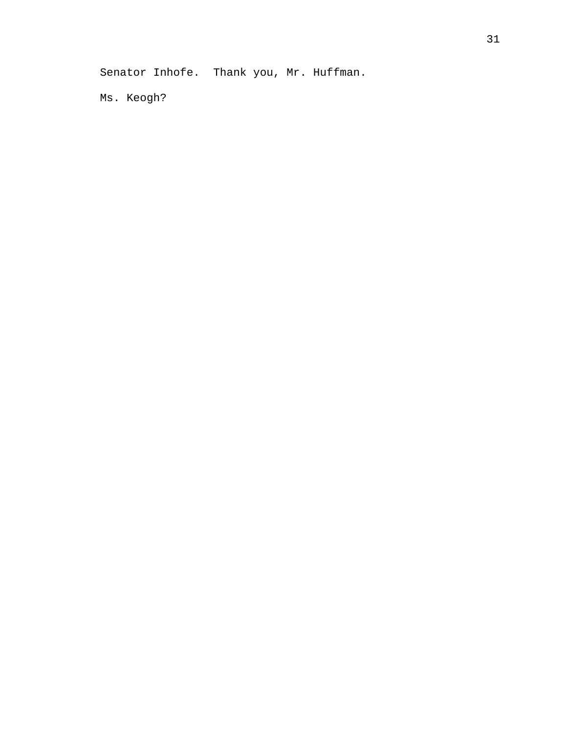Senator Inhofe. Thank you, Mr. Huffman.

Ms. Keogh?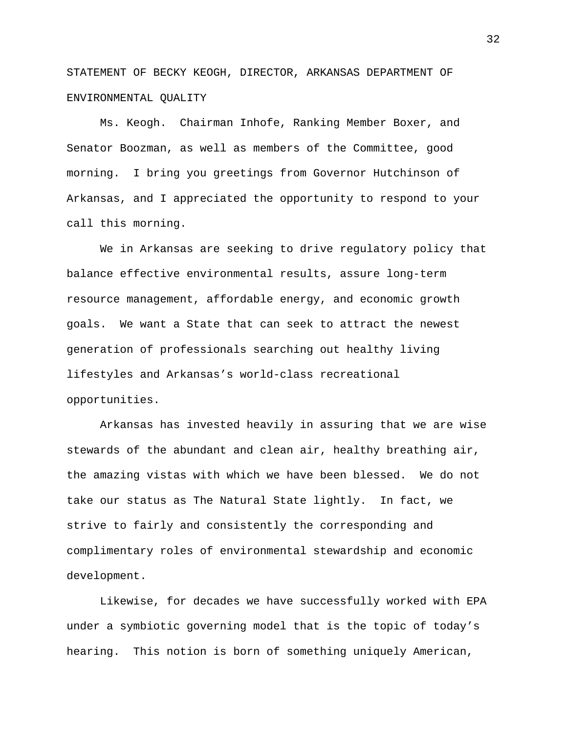STATEMENT OF BECKY KEOGH, DIRECTOR, ARKANSAS DEPARTMENT OF ENVIRONMENTAL QUALITY

Ms. Keogh. Chairman Inhofe, Ranking Member Boxer, and Senator Boozman, as well as members of the Committee, good morning. I bring you greetings from Governor Hutchinson of Arkansas, and I appreciated the opportunity to respond to your call this morning.

We in Arkansas are seeking to drive regulatory policy that balance effective environmental results, assure long-term resource management, affordable energy, and economic growth goals. We want a State that can seek to attract the newest generation of professionals searching out healthy living lifestyles and Arkansas's world-class recreational opportunities.

Arkansas has invested heavily in assuring that we are wise stewards of the abundant and clean air, healthy breathing air, the amazing vistas with which we have been blessed. We do not take our status as The Natural State lightly. In fact, we strive to fairly and consistently the corresponding and complimentary roles of environmental stewardship and economic development.

Likewise, for decades we have successfully worked with EPA under a symbiotic governing model that is the topic of today's hearing. This notion is born of something uniquely American,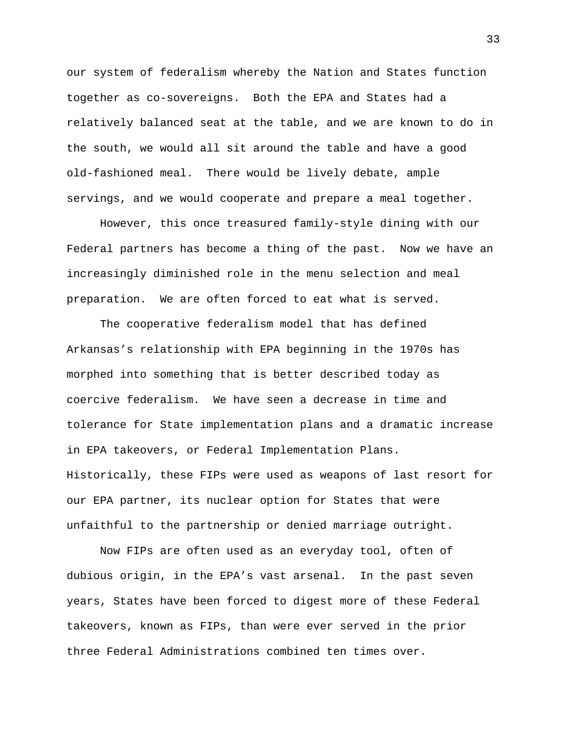our system of federalism whereby the Nation and States function together as co-sovereigns. Both the EPA and States had a relatively balanced seat at the table, and we are known to do in the south, we would all sit around the table and have a good old-fashioned meal. There would be lively debate, ample servings, and we would cooperate and prepare a meal together.

However, this once treasured family-style dining with our Federal partners has become a thing of the past. Now we have an increasingly diminished role in the menu selection and meal preparation. We are often forced to eat what is served.

The cooperative federalism model that has defined Arkansas's relationship with EPA beginning in the 1970s has morphed into something that is better described today as coercive federalism. We have seen a decrease in time and tolerance for State implementation plans and a dramatic increase in EPA takeovers, or Federal Implementation Plans. Historically, these FIPs were used as weapons of last resort for our EPA partner, its nuclear option for States that were unfaithful to the partnership or denied marriage outright.

Now FIPs are often used as an everyday tool, often of dubious origin, in the EPA's vast arsenal. In the past seven years, States have been forced to digest more of these Federal takeovers, known as FIPs, than were ever served in the prior three Federal Administrations combined ten times over.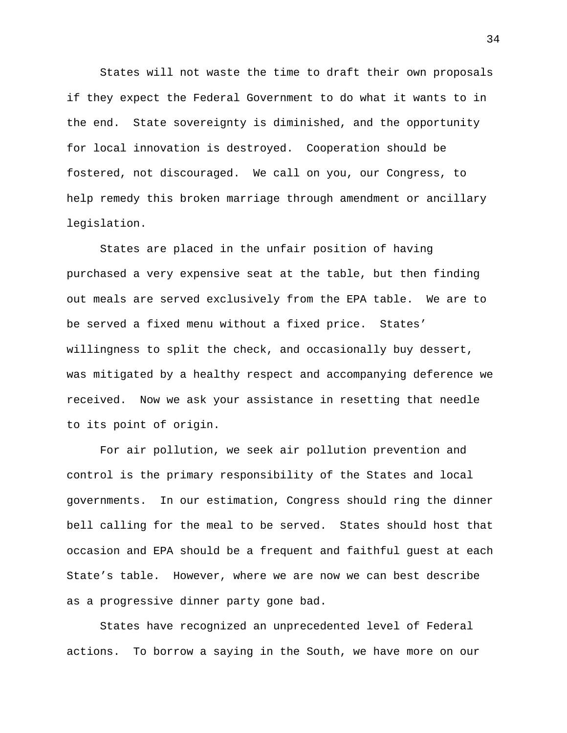States will not waste the time to draft their own proposals if they expect the Federal Government to do what it wants to in the end. State sovereignty is diminished, and the opportunity for local innovation is destroyed. Cooperation should be fostered, not discouraged. We call on you, our Congress, to help remedy this broken marriage through amendment or ancillary legislation.

States are placed in the unfair position of having purchased a very expensive seat at the table, but then finding out meals are served exclusively from the EPA table. We are to be served a fixed menu without a fixed price. States' willingness to split the check, and occasionally buy dessert, was mitigated by a healthy respect and accompanying deference we received. Now we ask your assistance in resetting that needle to its point of origin.

For air pollution, we seek air pollution prevention and control is the primary responsibility of the States and local governments. In our estimation, Congress should ring the dinner bell calling for the meal to be served. States should host that occasion and EPA should be a frequent and faithful guest at each State's table. However, where we are now we can best describe as a progressive dinner party gone bad.

States have recognized an unprecedented level of Federal actions. To borrow a saying in the South, we have more on our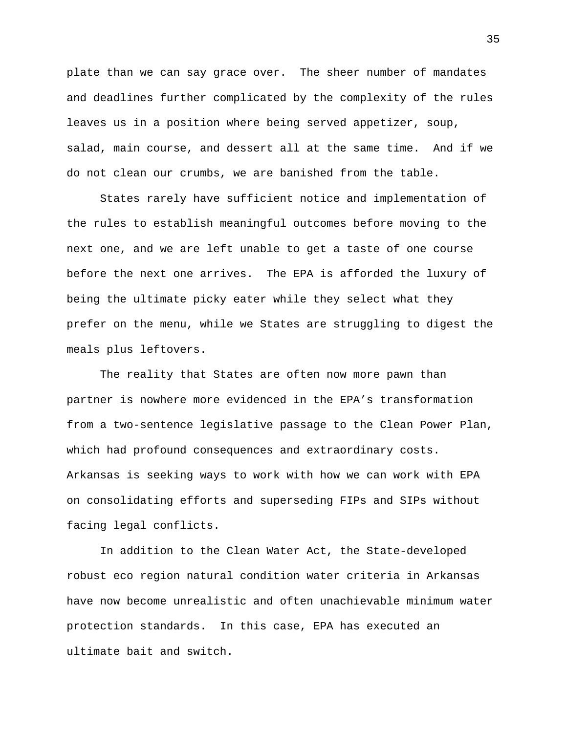plate than we can say grace over. The sheer number of mandates and deadlines further complicated by the complexity of the rules leaves us in a position where being served appetizer, soup, salad, main course, and dessert all at the same time. And if we do not clean our crumbs, we are banished from the table.

States rarely have sufficient notice and implementation of the rules to establish meaningful outcomes before moving to the next one, and we are left unable to get a taste of one course before the next one arrives. The EPA is afforded the luxury of being the ultimate picky eater while they select what they prefer on the menu, while we States are struggling to digest the meals plus leftovers.

The reality that States are often now more pawn than partner is nowhere more evidenced in the EPA's transformation from a two-sentence legislative passage to the Clean Power Plan, which had profound consequences and extraordinary costs. Arkansas is seeking ways to work with how we can work with EPA on consolidating efforts and superseding FIPs and SIPs without facing legal conflicts.

In addition to the Clean Water Act, the State-developed robust eco region natural condition water criteria in Arkansas have now become unrealistic and often unachievable minimum water protection standards. In this case, EPA has executed an ultimate bait and switch.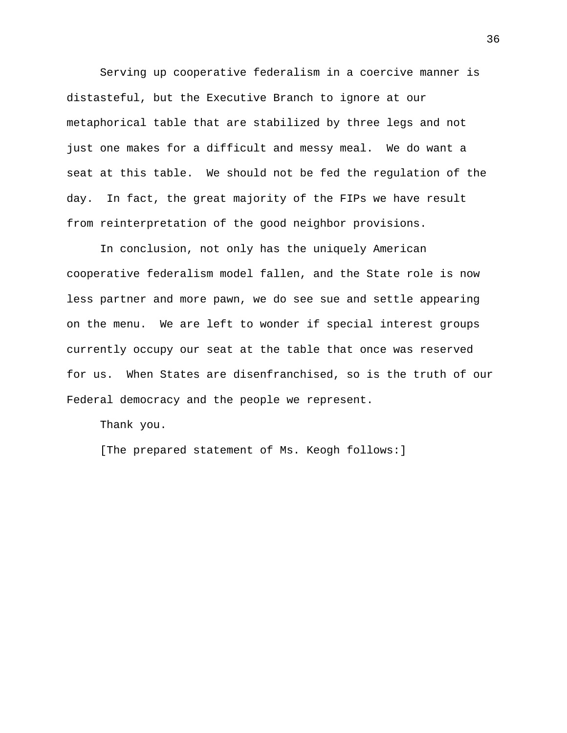Serving up cooperative federalism in a coercive manner is distasteful, but the Executive Branch to ignore at our metaphorical table that are stabilized by three legs and not just one makes for a difficult and messy meal. We do want a seat at this table. We should not be fed the regulation of the day. In fact, the great majority of the FIPs we have result from reinterpretation of the good neighbor provisions.

In conclusion, not only has the uniquely American cooperative federalism model fallen, and the State role is now less partner and more pawn, we do see sue and settle appearing on the menu. We are left to wonder if special interest groups currently occupy our seat at the table that once was reserved for us. When States are disenfranchised, so is the truth of our Federal democracy and the people we represent.

Thank you.

[The prepared statement of Ms. Keogh follows:]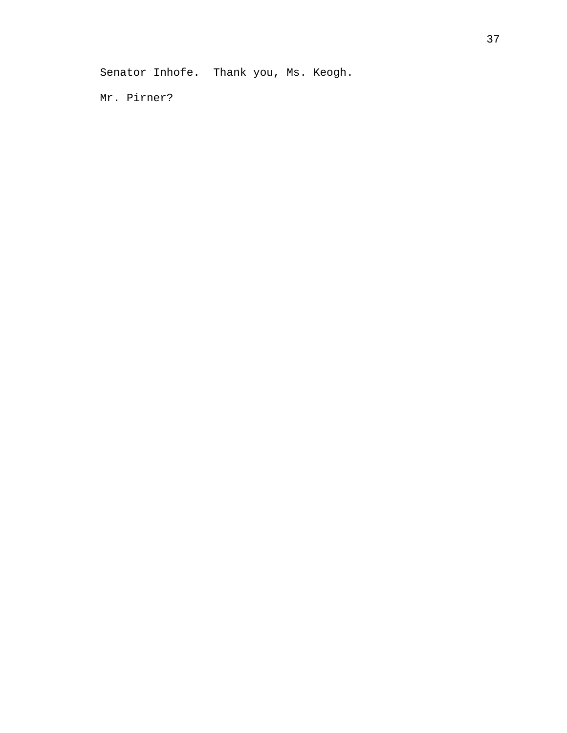Senator Inhofe. Thank you, Ms. Keogh.

Mr. Pirner?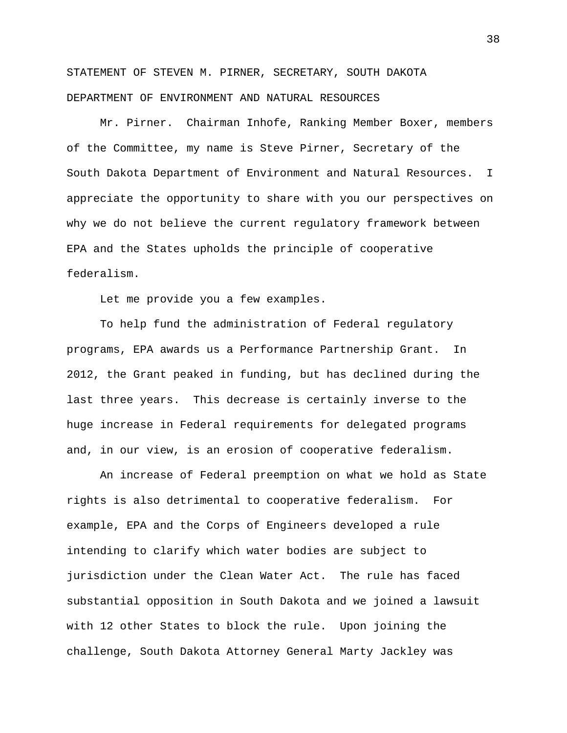STATEMENT OF STEVEN M. PIRNER, SECRETARY, SOUTH DAKOTA DEPARTMENT OF ENVIRONMENT AND NATURAL RESOURCES

Mr. Pirner. Chairman Inhofe, Ranking Member Boxer, members of the Committee, my name is Steve Pirner, Secretary of the South Dakota Department of Environment and Natural Resources. I appreciate the opportunity to share with you our perspectives on why we do not believe the current regulatory framework between EPA and the States upholds the principle of cooperative federalism.

Let me provide you a few examples.

To help fund the administration of Federal regulatory programs, EPA awards us a Performance Partnership Grant. In 2012, the Grant peaked in funding, but has declined during the last three years. This decrease is certainly inverse to the huge increase in Federal requirements for delegated programs and, in our view, is an erosion of cooperative federalism.

An increase of Federal preemption on what we hold as State rights is also detrimental to cooperative federalism. For example, EPA and the Corps of Engineers developed a rule intending to clarify which water bodies are subject to jurisdiction under the Clean Water Act. The rule has faced substantial opposition in South Dakota and we joined a lawsuit with 12 other States to block the rule. Upon joining the challenge, South Dakota Attorney General Marty Jackley was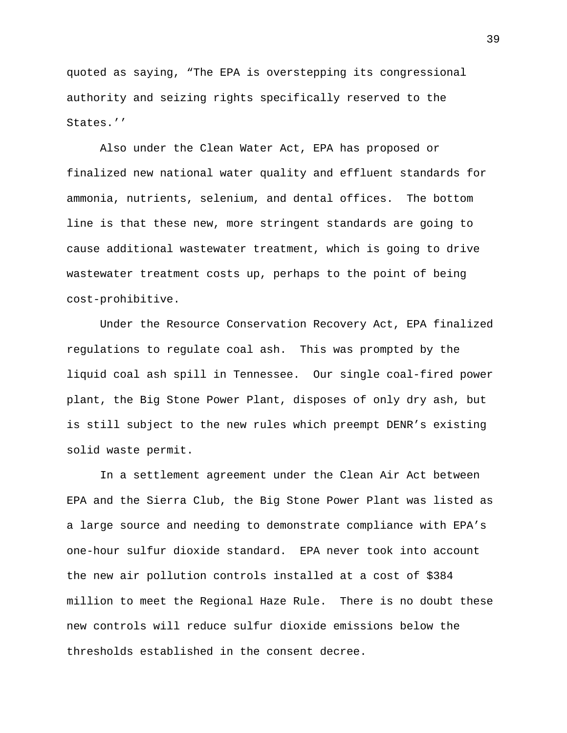quoted as saying, "The EPA is overstepping its congressional authority and seizing rights specifically reserved to the States.''

Also under the Clean Water Act, EPA has proposed or finalized new national water quality and effluent standards for ammonia, nutrients, selenium, and dental offices. The bottom line is that these new, more stringent standards are going to cause additional wastewater treatment, which is going to drive wastewater treatment costs up, perhaps to the point of being cost-prohibitive.

Under the Resource Conservation Recovery Act, EPA finalized regulations to regulate coal ash. This was prompted by the liquid coal ash spill in Tennessee. Our single coal-fired power plant, the Big Stone Power Plant, disposes of only dry ash, but is still subject to the new rules which preempt DENR's existing solid waste permit.

In a settlement agreement under the Clean Air Act between EPA and the Sierra Club, the Big Stone Power Plant was listed as a large source and needing to demonstrate compliance with EPA's one-hour sulfur dioxide standard. EPA never took into account the new air pollution controls installed at a cost of \$384 million to meet the Regional Haze Rule. There is no doubt these new controls will reduce sulfur dioxide emissions below the thresholds established in the consent decree.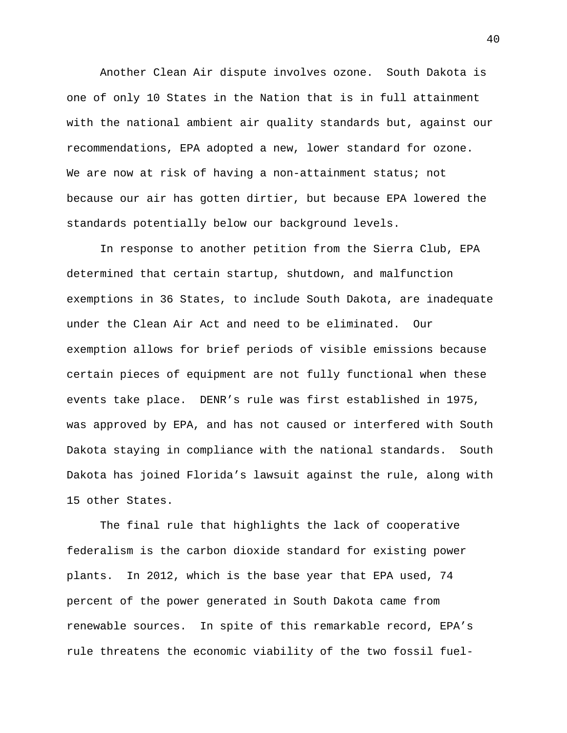Another Clean Air dispute involves ozone. South Dakota is one of only 10 States in the Nation that is in full attainment with the national ambient air quality standards but, against our recommendations, EPA adopted a new, lower standard for ozone. We are now at risk of having a non-attainment status; not because our air has gotten dirtier, but because EPA lowered the standards potentially below our background levels.

In response to another petition from the Sierra Club, EPA determined that certain startup, shutdown, and malfunction exemptions in 36 States, to include South Dakota, are inadequate under the Clean Air Act and need to be eliminated. Our exemption allows for brief periods of visible emissions because certain pieces of equipment are not fully functional when these events take place. DENR's rule was first established in 1975, was approved by EPA, and has not caused or interfered with South Dakota staying in compliance with the national standards. South Dakota has joined Florida's lawsuit against the rule, along with 15 other States.

The final rule that highlights the lack of cooperative federalism is the carbon dioxide standard for existing power plants. In 2012, which is the base year that EPA used, 74 percent of the power generated in South Dakota came from renewable sources. In spite of this remarkable record, EPA's rule threatens the economic viability of the two fossil fuel-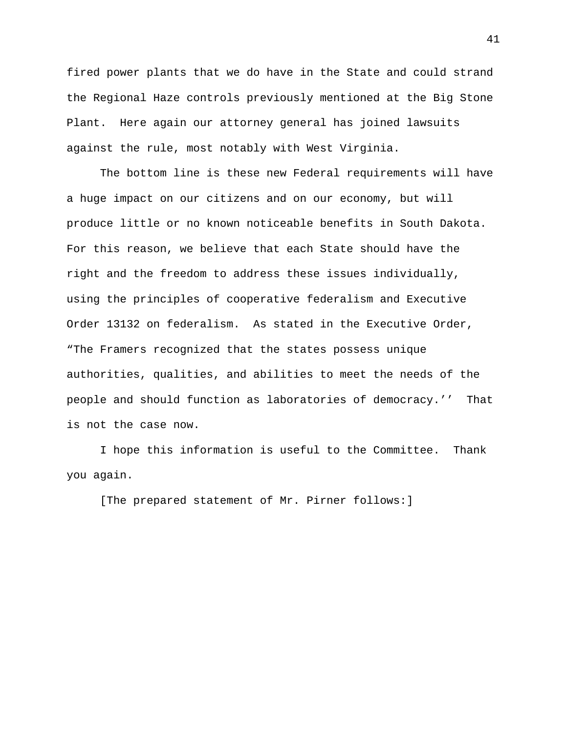fired power plants that we do have in the State and could strand the Regional Haze controls previously mentioned at the Big Stone Plant. Here again our attorney general has joined lawsuits against the rule, most notably with West Virginia.

The bottom line is these new Federal requirements will have a huge impact on our citizens and on our economy, but will produce little or no known noticeable benefits in South Dakota. For this reason, we believe that each State should have the right and the freedom to address these issues individually, using the principles of cooperative federalism and Executive Order 13132 on federalism. As stated in the Executive Order, "The Framers recognized that the states possess unique authorities, qualities, and abilities to meet the needs of the people and should function as laboratories of democracy.'' That is not the case now.

I hope this information is useful to the Committee. Thank you again.

[The prepared statement of Mr. Pirner follows:]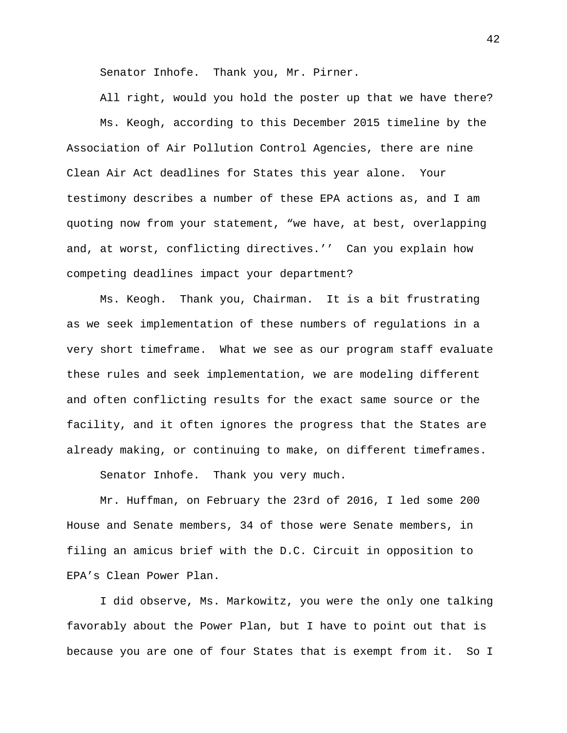Senator Inhofe. Thank you, Mr. Pirner.

All right, would you hold the poster up that we have there? Ms. Keogh, according to this December 2015 timeline by the Association of Air Pollution Control Agencies, there are nine Clean Air Act deadlines for States this year alone. Your testimony describes a number of these EPA actions as, and I am quoting now from your statement, "we have, at best, overlapping and, at worst, conflicting directives.'' Can you explain how competing deadlines impact your department?

Ms. Keogh. Thank you, Chairman. It is a bit frustrating as we seek implementation of these numbers of regulations in a very short timeframe. What we see as our program staff evaluate these rules and seek implementation, we are modeling different and often conflicting results for the exact same source or the facility, and it often ignores the progress that the States are already making, or continuing to make, on different timeframes.

Senator Inhofe. Thank you very much.

Mr. Huffman, on February the 23rd of 2016, I led some 200 House and Senate members, 34 of those were Senate members, in filing an amicus brief with the D.C. Circuit in opposition to EPA's Clean Power Plan.

I did observe, Ms. Markowitz, you were the only one talking favorably about the Power Plan, but I have to point out that is because you are one of four States that is exempt from it. So I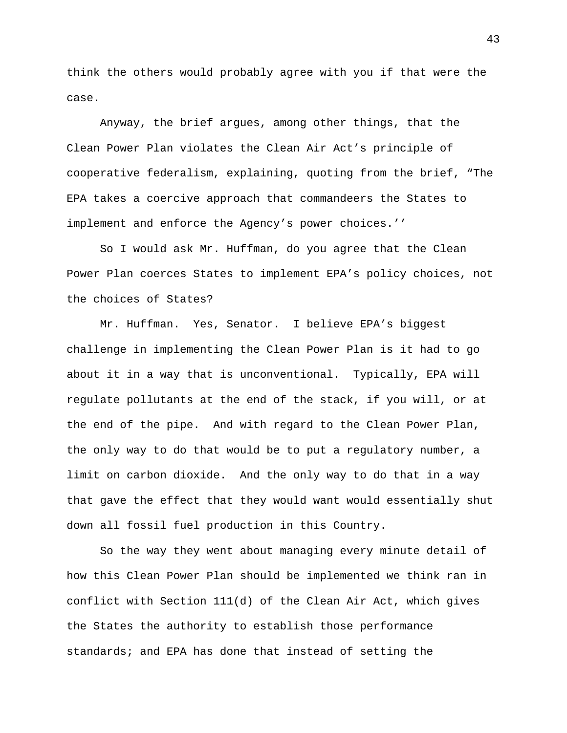think the others would probably agree with you if that were the case.

Anyway, the brief argues, among other things, that the Clean Power Plan violates the Clean Air Act's principle of cooperative federalism, explaining, quoting from the brief, "The EPA takes a coercive approach that commandeers the States to implement and enforce the Agency's power choices.''

So I would ask Mr. Huffman, do you agree that the Clean Power Plan coerces States to implement EPA's policy choices, not the choices of States?

Mr. Huffman. Yes, Senator. I believe EPA's biggest challenge in implementing the Clean Power Plan is it had to go about it in a way that is unconventional. Typically, EPA will regulate pollutants at the end of the stack, if you will, or at the end of the pipe. And with regard to the Clean Power Plan, the only way to do that would be to put a regulatory number, a limit on carbon dioxide. And the only way to do that in a way that gave the effect that they would want would essentially shut down all fossil fuel production in this Country.

So the way they went about managing every minute detail of how this Clean Power Plan should be implemented we think ran in conflict with Section 111(d) of the Clean Air Act, which gives the States the authority to establish those performance standards; and EPA has done that instead of setting the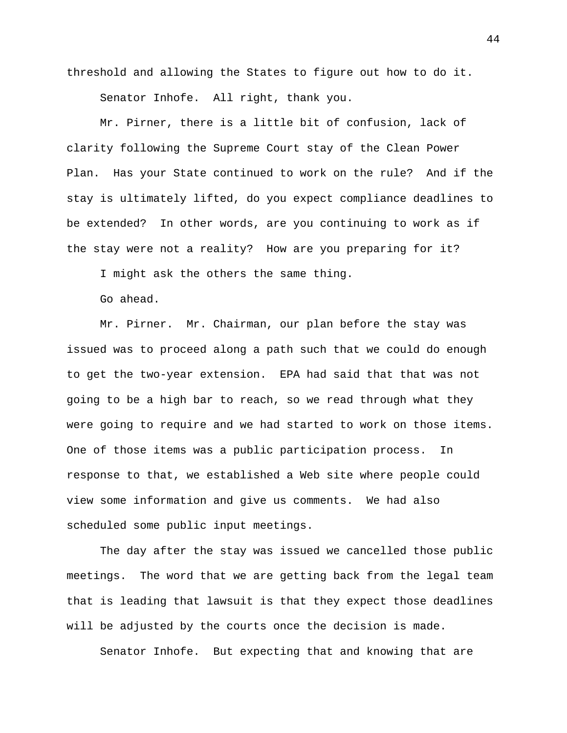threshold and allowing the States to figure out how to do it.

Senator Inhofe. All right, thank you.

Mr. Pirner, there is a little bit of confusion, lack of clarity following the Supreme Court stay of the Clean Power Plan. Has your State continued to work on the rule? And if the stay is ultimately lifted, do you expect compliance deadlines to be extended? In other words, are you continuing to work as if the stay were not a reality? How are you preparing for it?

I might ask the others the same thing.

Go ahead.

Mr. Pirner. Mr. Chairman, our plan before the stay was issued was to proceed along a path such that we could do enough to get the two-year extension. EPA had said that that was not going to be a high bar to reach, so we read through what they were going to require and we had started to work on those items. One of those items was a public participation process. In response to that, we established a Web site where people could view some information and give us comments. We had also scheduled some public input meetings.

The day after the stay was issued we cancelled those public meetings. The word that we are getting back from the legal team that is leading that lawsuit is that they expect those deadlines will be adjusted by the courts once the decision is made.

Senator Inhofe. But expecting that and knowing that are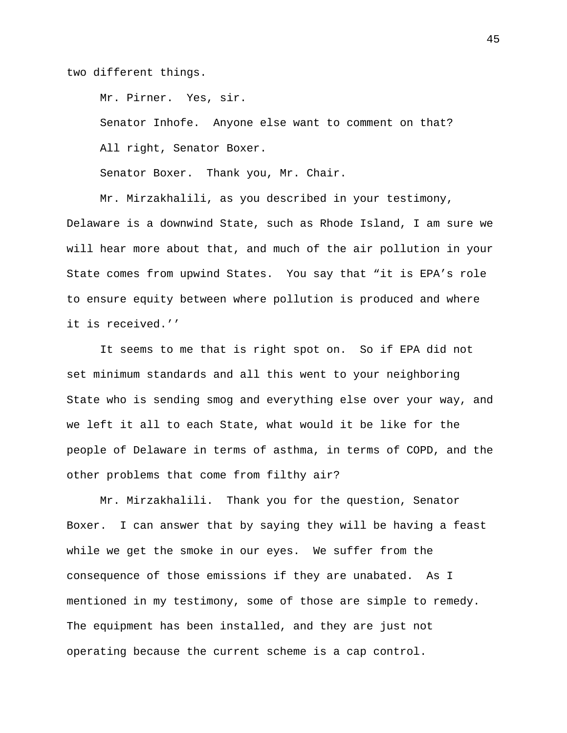two different things.

Mr. Pirner. Yes, sir.

Senator Inhofe. Anyone else want to comment on that? All right, Senator Boxer.

Senator Boxer. Thank you, Mr. Chair.

Mr. Mirzakhalili, as you described in your testimony, Delaware is a downwind State, such as Rhode Island, I am sure we will hear more about that, and much of the air pollution in your State comes from upwind States. You say that "it is EPA's role to ensure equity between where pollution is produced and where it is received.''

It seems to me that is right spot on. So if EPA did not set minimum standards and all this went to your neighboring State who is sending smog and everything else over your way, and we left it all to each State, what would it be like for the people of Delaware in terms of asthma, in terms of COPD, and the other problems that come from filthy air?

Mr. Mirzakhalili. Thank you for the question, Senator Boxer. I can answer that by saying they will be having a feast while we get the smoke in our eyes. We suffer from the consequence of those emissions if they are unabated. As I mentioned in my testimony, some of those are simple to remedy. The equipment has been installed, and they are just not operating because the current scheme is a cap control.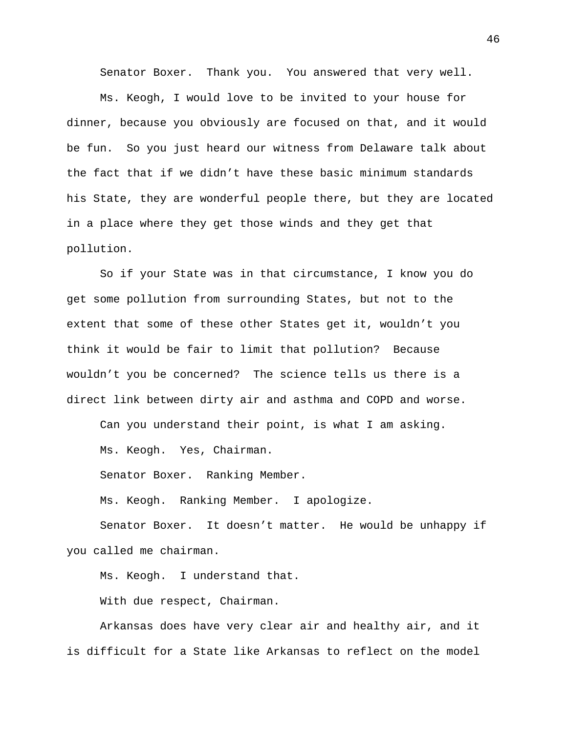Senator Boxer. Thank you. You answered that very well.

Ms. Keogh, I would love to be invited to your house for dinner, because you obviously are focused on that, and it would be fun. So you just heard our witness from Delaware talk about the fact that if we didn't have these basic minimum standards his State, they are wonderful people there, but they are located in a place where they get those winds and they get that pollution.

So if your State was in that circumstance, I know you do get some pollution from surrounding States, but not to the extent that some of these other States get it, wouldn't you think it would be fair to limit that pollution? Because wouldn't you be concerned? The science tells us there is a direct link between dirty air and asthma and COPD and worse.

Can you understand their point, is what I am asking.

Ms. Keogh. Yes, Chairman.

Senator Boxer. Ranking Member.

Ms. Keogh. Ranking Member. I apologize.

Senator Boxer. It doesn't matter. He would be unhappy if you called me chairman.

Ms. Keogh. I understand that.

With due respect, Chairman.

Arkansas does have very clear air and healthy air, and it is difficult for a State like Arkansas to reflect on the model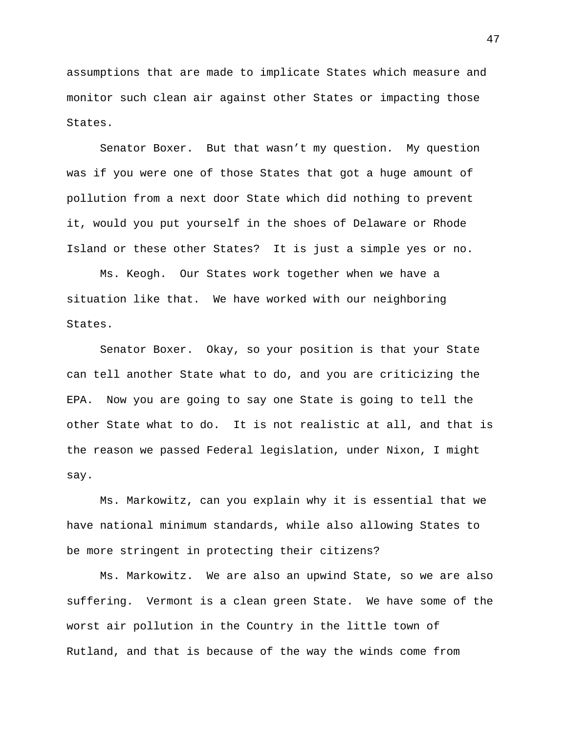assumptions that are made to implicate States which measure and monitor such clean air against other States or impacting those States.

Senator Boxer. But that wasn't my question. My question was if you were one of those States that got a huge amount of pollution from a next door State which did nothing to prevent it, would you put yourself in the shoes of Delaware or Rhode Island or these other States? It is just a simple yes or no.

Ms. Keogh. Our States work together when we have a situation like that. We have worked with our neighboring States.

Senator Boxer. Okay, so your position is that your State can tell another State what to do, and you are criticizing the EPA. Now you are going to say one State is going to tell the other State what to do. It is not realistic at all, and that is the reason we passed Federal legislation, under Nixon, I might say.

Ms. Markowitz, can you explain why it is essential that we have national minimum standards, while also allowing States to be more stringent in protecting their citizens?

Ms. Markowitz. We are also an upwind State, so we are also suffering. Vermont is a clean green State. We have some of the worst air pollution in the Country in the little town of Rutland, and that is because of the way the winds come from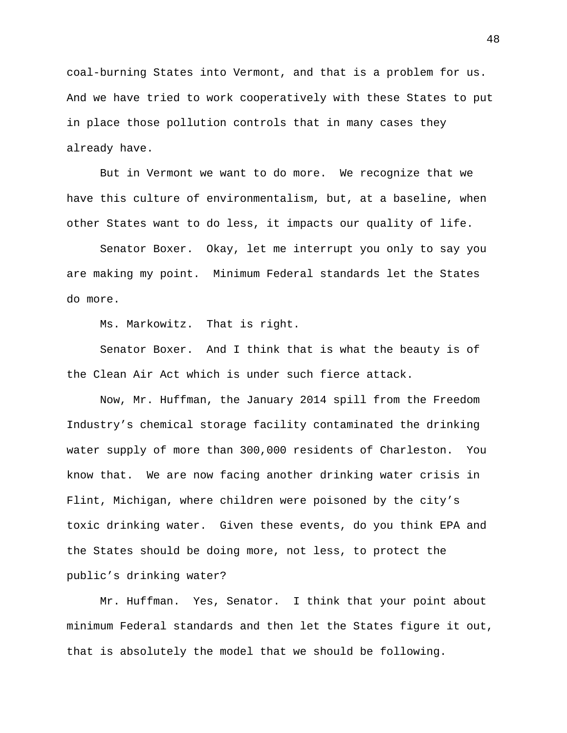coal-burning States into Vermont, and that is a problem for us. And we have tried to work cooperatively with these States to put in place those pollution controls that in many cases they already have.

But in Vermont we want to do more. We recognize that we have this culture of environmentalism, but, at a baseline, when other States want to do less, it impacts our quality of life.

Senator Boxer. Okay, let me interrupt you only to say you are making my point. Minimum Federal standards let the States do more.

Ms. Markowitz. That is right.

Senator Boxer. And I think that is what the beauty is of the Clean Air Act which is under such fierce attack.

Now, Mr. Huffman, the January 2014 spill from the Freedom Industry's chemical storage facility contaminated the drinking water supply of more than 300,000 residents of Charleston. You know that. We are now facing another drinking water crisis in Flint, Michigan, where children were poisoned by the city's toxic drinking water. Given these events, do you think EPA and the States should be doing more, not less, to protect the public's drinking water?

Mr. Huffman. Yes, Senator. I think that your point about minimum Federal standards and then let the States figure it out, that is absolutely the model that we should be following.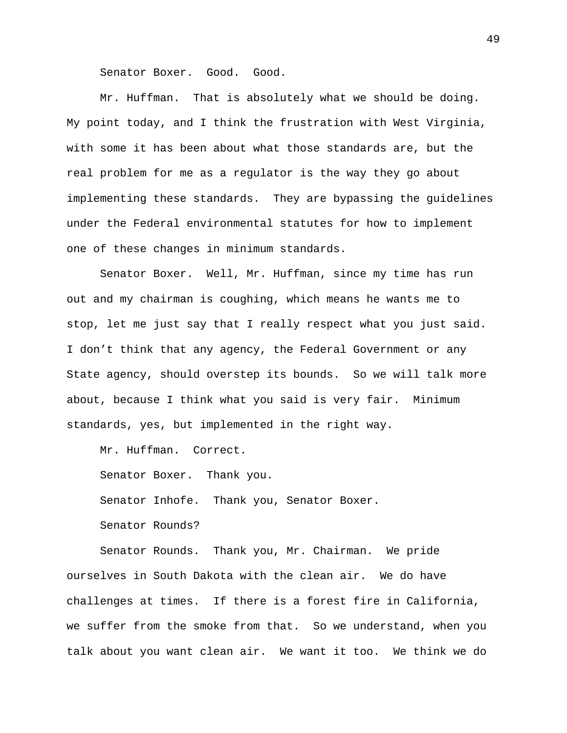Senator Boxer. Good. Good.

Mr. Huffman. That is absolutely what we should be doing. My point today, and I think the frustration with West Virginia, with some it has been about what those standards are, but the real problem for me as a regulator is the way they go about implementing these standards. They are bypassing the guidelines under the Federal environmental statutes for how to implement one of these changes in minimum standards.

Senator Boxer. Well, Mr. Huffman, since my time has run out and my chairman is coughing, which means he wants me to stop, let me just say that I really respect what you just said. I don't think that any agency, the Federal Government or any State agency, should overstep its bounds. So we will talk more about, because I think what you said is very fair. Minimum standards, yes, but implemented in the right way.

Mr. Huffman. Correct.

Senator Boxer. Thank you. Senator Inhofe. Thank you, Senator Boxer. Senator Rounds?

Senator Rounds. Thank you, Mr. Chairman. We pride ourselves in South Dakota with the clean air. We do have challenges at times. If there is a forest fire in California, we suffer from the smoke from that. So we understand, when you talk about you want clean air. We want it too. We think we do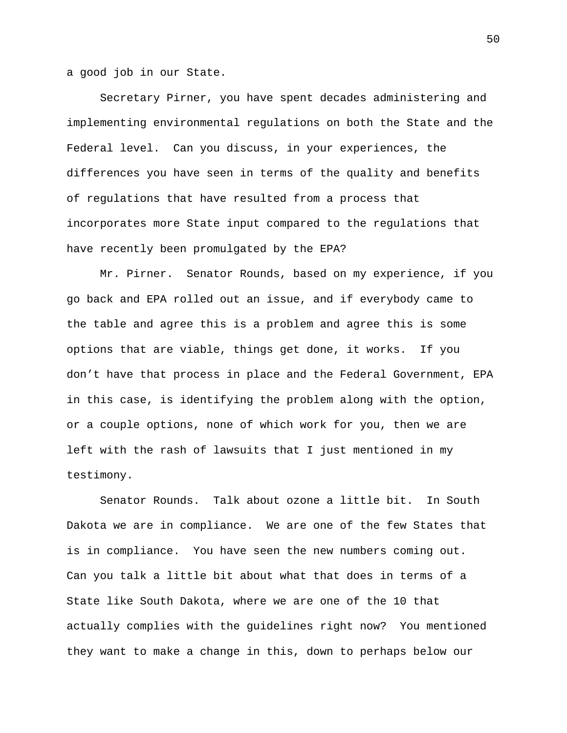a good job in our State.

Secretary Pirner, you have spent decades administering and implementing environmental regulations on both the State and the Federal level. Can you discuss, in your experiences, the differences you have seen in terms of the quality and benefits of regulations that have resulted from a process that incorporates more State input compared to the regulations that have recently been promulgated by the EPA?

Mr. Pirner. Senator Rounds, based on my experience, if you go back and EPA rolled out an issue, and if everybody came to the table and agree this is a problem and agree this is some options that are viable, things get done, it works. If you don't have that process in place and the Federal Government, EPA in this case, is identifying the problem along with the option, or a couple options, none of which work for you, then we are left with the rash of lawsuits that I just mentioned in my testimony.

Senator Rounds. Talk about ozone a little bit. In South Dakota we are in compliance. We are one of the few States that is in compliance. You have seen the new numbers coming out. Can you talk a little bit about what that does in terms of a State like South Dakota, where we are one of the 10 that actually complies with the guidelines right now? You mentioned they want to make a change in this, down to perhaps below our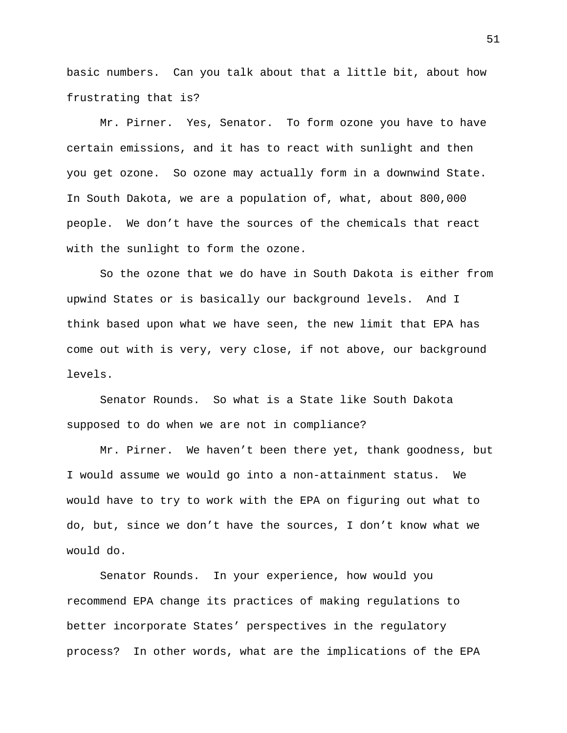basic numbers. Can you talk about that a little bit, about how frustrating that is?

Mr. Pirner. Yes, Senator. To form ozone you have to have certain emissions, and it has to react with sunlight and then you get ozone. So ozone may actually form in a downwind State. In South Dakota, we are a population of, what, about 800,000 people. We don't have the sources of the chemicals that react with the sunlight to form the ozone.

So the ozone that we do have in South Dakota is either from upwind States or is basically our background levels. And I think based upon what we have seen, the new limit that EPA has come out with is very, very close, if not above, our background levels.

Senator Rounds. So what is a State like South Dakota supposed to do when we are not in compliance?

Mr. Pirner. We haven't been there yet, thank goodness, but I would assume we would go into a non-attainment status. We would have to try to work with the EPA on figuring out what to do, but, since we don't have the sources, I don't know what we would do.

Senator Rounds. In your experience, how would you recommend EPA change its practices of making regulations to better incorporate States' perspectives in the regulatory process? In other words, what are the implications of the EPA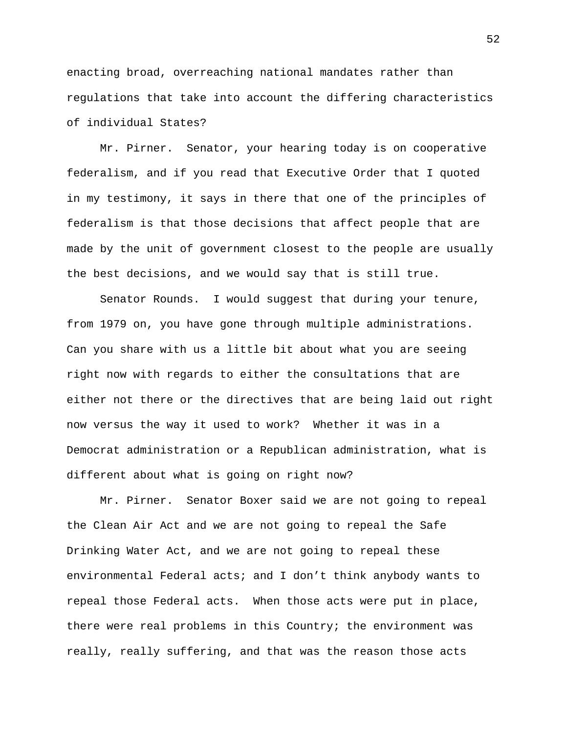enacting broad, overreaching national mandates rather than regulations that take into account the differing characteristics of individual States?

Mr. Pirner. Senator, your hearing today is on cooperative federalism, and if you read that Executive Order that I quoted in my testimony, it says in there that one of the principles of federalism is that those decisions that affect people that are made by the unit of government closest to the people are usually the best decisions, and we would say that is still true.

Senator Rounds. I would suggest that during your tenure, from 1979 on, you have gone through multiple administrations. Can you share with us a little bit about what you are seeing right now with regards to either the consultations that are either not there or the directives that are being laid out right now versus the way it used to work? Whether it was in a Democrat administration or a Republican administration, what is different about what is going on right now?

Mr. Pirner. Senator Boxer said we are not going to repeal the Clean Air Act and we are not going to repeal the Safe Drinking Water Act, and we are not going to repeal these environmental Federal acts; and I don't think anybody wants to repeal those Federal acts. When those acts were put in place, there were real problems in this Country; the environment was really, really suffering, and that was the reason those acts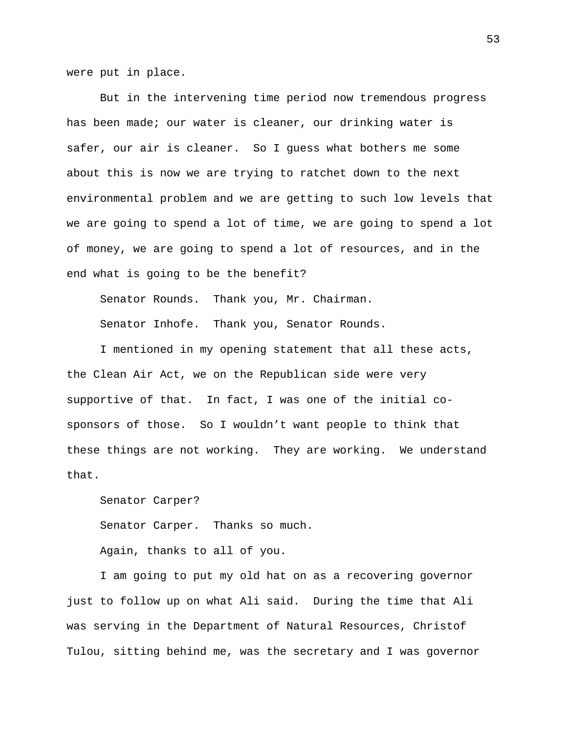were put in place.

But in the intervening time period now tremendous progress has been made; our water is cleaner, our drinking water is safer, our air is cleaner. So I guess what bothers me some about this is now we are trying to ratchet down to the next environmental problem and we are getting to such low levels that we are going to spend a lot of time, we are going to spend a lot of money, we are going to spend a lot of resources, and in the end what is going to be the benefit?

Senator Rounds. Thank you, Mr. Chairman.

Senator Inhofe. Thank you, Senator Rounds.

I mentioned in my opening statement that all these acts, the Clean Air Act, we on the Republican side were very supportive of that. In fact, I was one of the initial cosponsors of those. So I wouldn't want people to think that these things are not working. They are working. We understand that.

Senator Carper? Senator Carper. Thanks so much. Again, thanks to all of you.

I am going to put my old hat on as a recovering governor just to follow up on what Ali said. During the time that Ali was serving in the Department of Natural Resources, Christof Tulou, sitting behind me, was the secretary and I was governor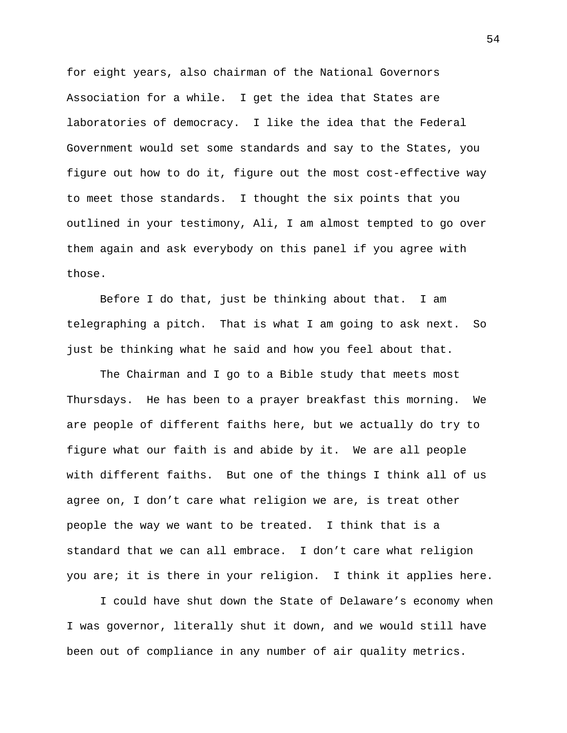for eight years, also chairman of the National Governors Association for a while. I get the idea that States are laboratories of democracy. I like the idea that the Federal Government would set some standards and say to the States, you figure out how to do it, figure out the most cost-effective way to meet those standards. I thought the six points that you outlined in your testimony, Ali, I am almost tempted to go over them again and ask everybody on this panel if you agree with those.

Before I do that, just be thinking about that. I am telegraphing a pitch. That is what I am going to ask next. So just be thinking what he said and how you feel about that.

The Chairman and I go to a Bible study that meets most Thursdays. He has been to a prayer breakfast this morning. We are people of different faiths here, but we actually do try to figure what our faith is and abide by it. We are all people with different faiths. But one of the things I think all of us agree on, I don't care what religion we are, is treat other people the way we want to be treated. I think that is a standard that we can all embrace. I don't care what religion you are; it is there in your religion. I think it applies here.

I could have shut down the State of Delaware's economy when I was governor, literally shut it down, and we would still have been out of compliance in any number of air quality metrics.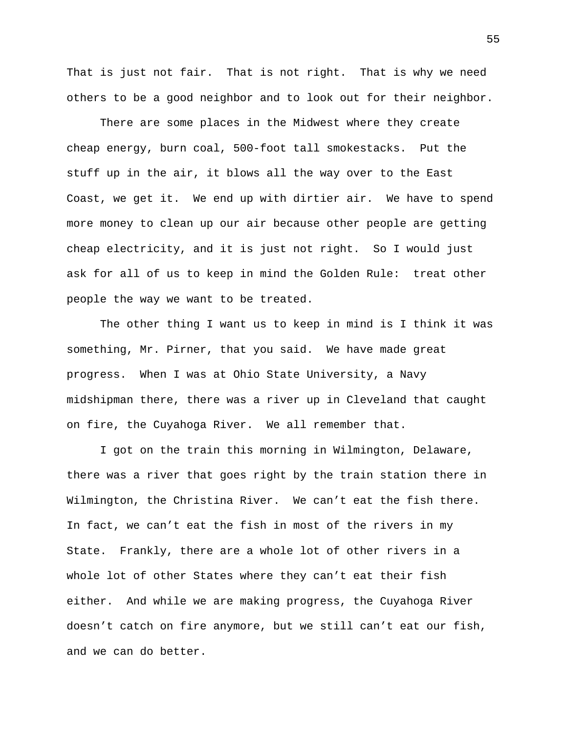That is just not fair. That is not right. That is why we need others to be a good neighbor and to look out for their neighbor.

There are some places in the Midwest where they create cheap energy, burn coal, 500-foot tall smokestacks. Put the stuff up in the air, it blows all the way over to the East Coast, we get it. We end up with dirtier air. We have to spend more money to clean up our air because other people are getting cheap electricity, and it is just not right. So I would just ask for all of us to keep in mind the Golden Rule: treat other people the way we want to be treated.

The other thing I want us to keep in mind is I think it was something, Mr. Pirner, that you said. We have made great progress. When I was at Ohio State University, a Navy midshipman there, there was a river up in Cleveland that caught on fire, the Cuyahoga River. We all remember that.

I got on the train this morning in Wilmington, Delaware, there was a river that goes right by the train station there in Wilmington, the Christina River. We can't eat the fish there. In fact, we can't eat the fish in most of the rivers in my State. Frankly, there are a whole lot of other rivers in a whole lot of other States where they can't eat their fish either. And while we are making progress, the Cuyahoga River doesn't catch on fire anymore, but we still can't eat our fish, and we can do better.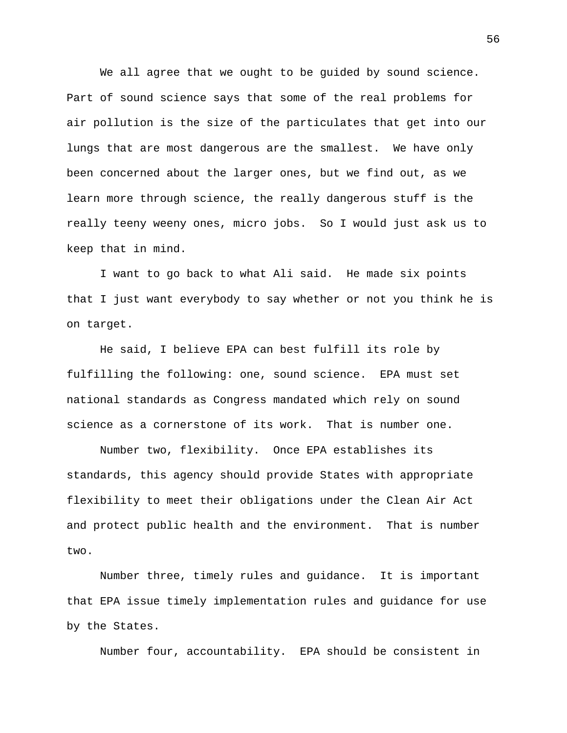We all agree that we ought to be guided by sound science. Part of sound science says that some of the real problems for air pollution is the size of the particulates that get into our lungs that are most dangerous are the smallest. We have only been concerned about the larger ones, but we find out, as we learn more through science, the really dangerous stuff is the really teeny weeny ones, micro jobs. So I would just ask us to keep that in mind.

I want to go back to what Ali said. He made six points that I just want everybody to say whether or not you think he is on target.

He said, I believe EPA can best fulfill its role by fulfilling the following: one, sound science. EPA must set national standards as Congress mandated which rely on sound science as a cornerstone of its work. That is number one.

Number two, flexibility. Once EPA establishes its standards, this agency should provide States with appropriate flexibility to meet their obligations under the Clean Air Act and protect public health and the environment. That is number two.

Number three, timely rules and guidance. It is important that EPA issue timely implementation rules and guidance for use by the States.

Number four, accountability. EPA should be consistent in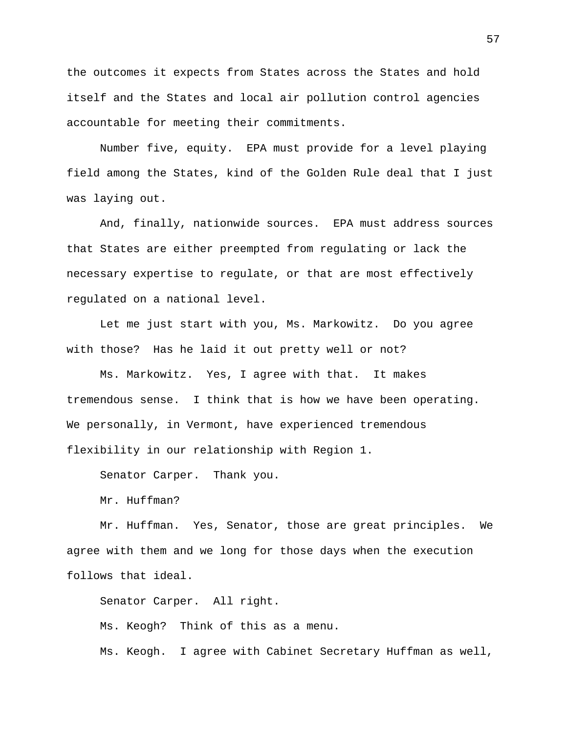the outcomes it expects from States across the States and hold itself and the States and local air pollution control agencies accountable for meeting their commitments.

Number five, equity. EPA must provide for a level playing field among the States, kind of the Golden Rule deal that I just was laying out.

And, finally, nationwide sources. EPA must address sources that States are either preempted from regulating or lack the necessary expertise to regulate, or that are most effectively regulated on a national level.

Let me just start with you, Ms. Markowitz. Do you agree with those? Has he laid it out pretty well or not?

Ms. Markowitz. Yes, I agree with that. It makes tremendous sense. I think that is how we have been operating. We personally, in Vermont, have experienced tremendous flexibility in our relationship with Region 1.

Senator Carper. Thank you.

Mr. Huffman?

Mr. Huffman. Yes, Senator, those are great principles. We agree with them and we long for those days when the execution follows that ideal.

Senator Carper. All right.

Ms. Keogh? Think of this as a menu.

Ms. Keogh. I agree with Cabinet Secretary Huffman as well,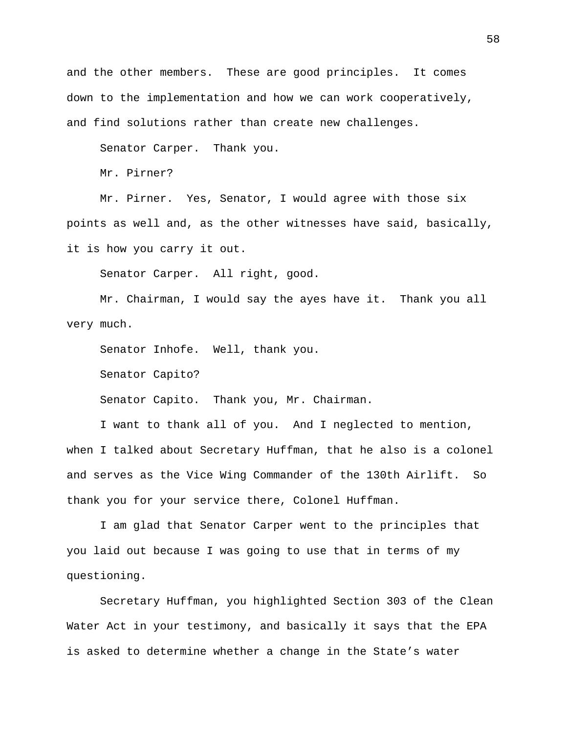and the other members. These are good principles. It comes down to the implementation and how we can work cooperatively, and find solutions rather than create new challenges.

Senator Carper. Thank you.

Mr. Pirner?

Mr. Pirner. Yes, Senator, I would agree with those six points as well and, as the other witnesses have said, basically, it is how you carry it out.

Senator Carper. All right, good.

Mr. Chairman, I would say the ayes have it. Thank you all very much.

Senator Inhofe. Well, thank you.

Senator Capito?

Senator Capito. Thank you, Mr. Chairman.

I want to thank all of you. And I neglected to mention, when I talked about Secretary Huffman, that he also is a colonel and serves as the Vice Wing Commander of the 130th Airlift. So thank you for your service there, Colonel Huffman.

I am glad that Senator Carper went to the principles that you laid out because I was going to use that in terms of my questioning.

Secretary Huffman, you highlighted Section 303 of the Clean Water Act in your testimony, and basically it says that the EPA is asked to determine whether a change in the State's water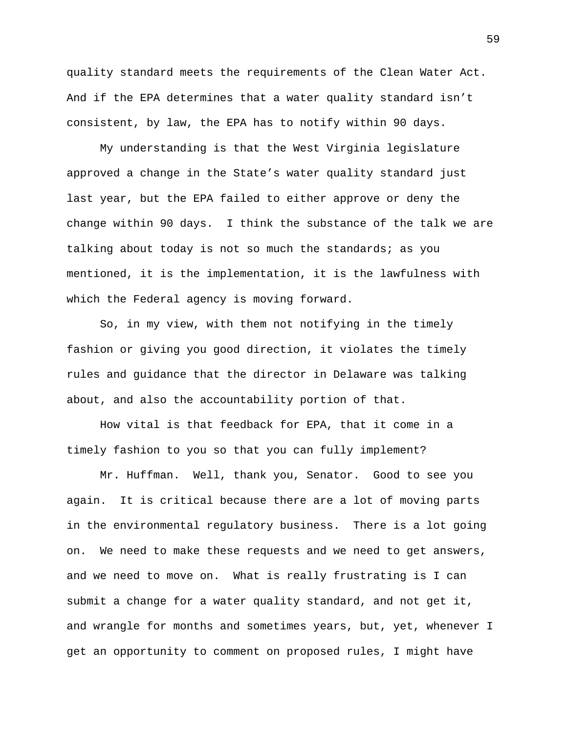quality standard meets the requirements of the Clean Water Act. And if the EPA determines that a water quality standard isn't consistent, by law, the EPA has to notify within 90 days.

My understanding is that the West Virginia legislature approved a change in the State's water quality standard just last year, but the EPA failed to either approve or deny the change within 90 days. I think the substance of the talk we are talking about today is not so much the standards; as you mentioned, it is the implementation, it is the lawfulness with which the Federal agency is moving forward.

So, in my view, with them not notifying in the timely fashion or giving you good direction, it violates the timely rules and guidance that the director in Delaware was talking about, and also the accountability portion of that.

How vital is that feedback for EPA, that it come in a timely fashion to you so that you can fully implement?

Mr. Huffman. Well, thank you, Senator. Good to see you again. It is critical because there are a lot of moving parts in the environmental regulatory business. There is a lot going on. We need to make these requests and we need to get answers, and we need to move on. What is really frustrating is I can submit a change for a water quality standard, and not get it, and wrangle for months and sometimes years, but, yet, whenever I get an opportunity to comment on proposed rules, I might have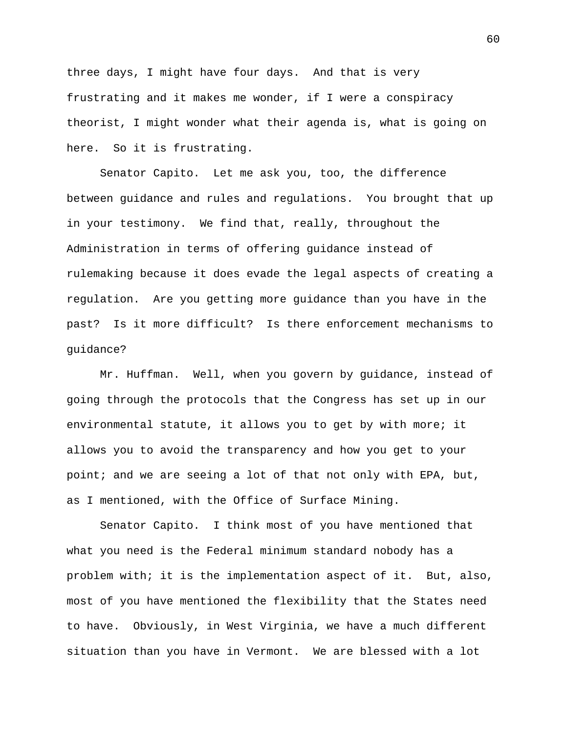three days, I might have four days. And that is very frustrating and it makes me wonder, if I were a conspiracy theorist, I might wonder what their agenda is, what is going on here. So it is frustrating.

Senator Capito. Let me ask you, too, the difference between guidance and rules and regulations. You brought that up in your testimony. We find that, really, throughout the Administration in terms of offering guidance instead of rulemaking because it does evade the legal aspects of creating a regulation. Are you getting more guidance than you have in the past? Is it more difficult? Is there enforcement mechanisms to guidance?

Mr. Huffman. Well, when you govern by guidance, instead of going through the protocols that the Congress has set up in our environmental statute, it allows you to get by with more; it allows you to avoid the transparency and how you get to your point; and we are seeing a lot of that not only with EPA, but, as I mentioned, with the Office of Surface Mining.

Senator Capito. I think most of you have mentioned that what you need is the Federal minimum standard nobody has a problem with; it is the implementation aspect of it. But, also, most of you have mentioned the flexibility that the States need to have. Obviously, in West Virginia, we have a much different situation than you have in Vermont. We are blessed with a lot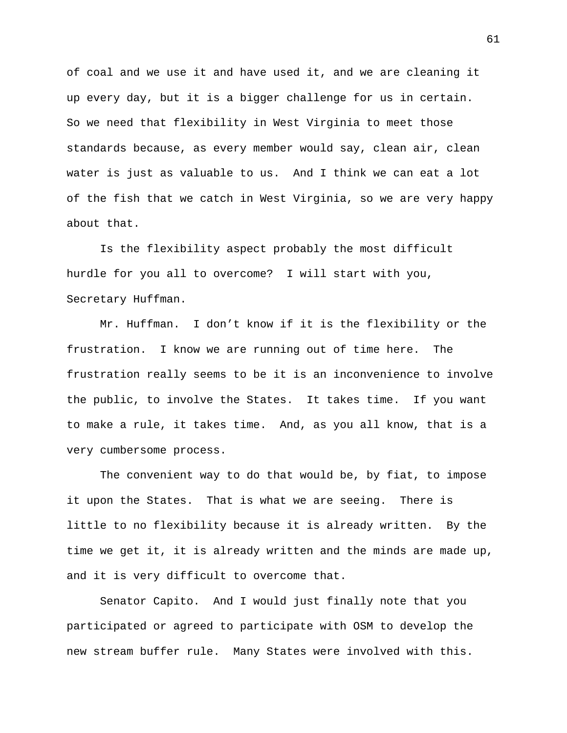of coal and we use it and have used it, and we are cleaning it up every day, but it is a bigger challenge for us in certain. So we need that flexibility in West Virginia to meet those standards because, as every member would say, clean air, clean water is just as valuable to us. And I think we can eat a lot of the fish that we catch in West Virginia, so we are very happy about that.

Is the flexibility aspect probably the most difficult hurdle for you all to overcome? I will start with you, Secretary Huffman.

Mr. Huffman. I don't know if it is the flexibility or the frustration. I know we are running out of time here. The frustration really seems to be it is an inconvenience to involve the public, to involve the States. It takes time. If you want to make a rule, it takes time. And, as you all know, that is a very cumbersome process.

The convenient way to do that would be, by fiat, to impose it upon the States. That is what we are seeing. There is little to no flexibility because it is already written. By the time we get it, it is already written and the minds are made up, and it is very difficult to overcome that.

Senator Capito. And I would just finally note that you participated or agreed to participate with OSM to develop the new stream buffer rule. Many States were involved with this.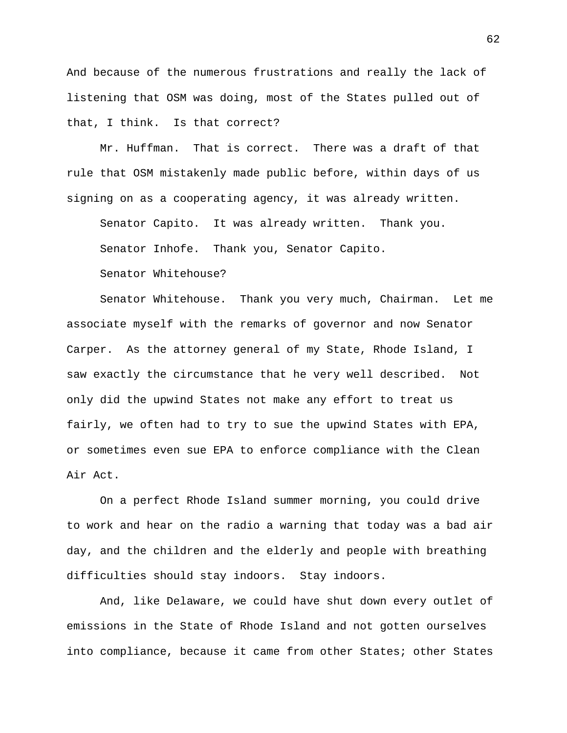And because of the numerous frustrations and really the lack of listening that OSM was doing, most of the States pulled out of that, I think. Is that correct?

Mr. Huffman. That is correct. There was a draft of that rule that OSM mistakenly made public before, within days of us signing on as a cooperating agency, it was already written.

Senator Capito. It was already written. Thank you.

Senator Inhofe. Thank you, Senator Capito.

Senator Whitehouse?

Senator Whitehouse. Thank you very much, Chairman. Let me associate myself with the remarks of governor and now Senator Carper. As the attorney general of my State, Rhode Island, I saw exactly the circumstance that he very well described. Not only did the upwind States not make any effort to treat us fairly, we often had to try to sue the upwind States with EPA, or sometimes even sue EPA to enforce compliance with the Clean Air Act.

On a perfect Rhode Island summer morning, you could drive to work and hear on the radio a warning that today was a bad air day, and the children and the elderly and people with breathing difficulties should stay indoors. Stay indoors.

And, like Delaware, we could have shut down every outlet of emissions in the State of Rhode Island and not gotten ourselves into compliance, because it came from other States; other States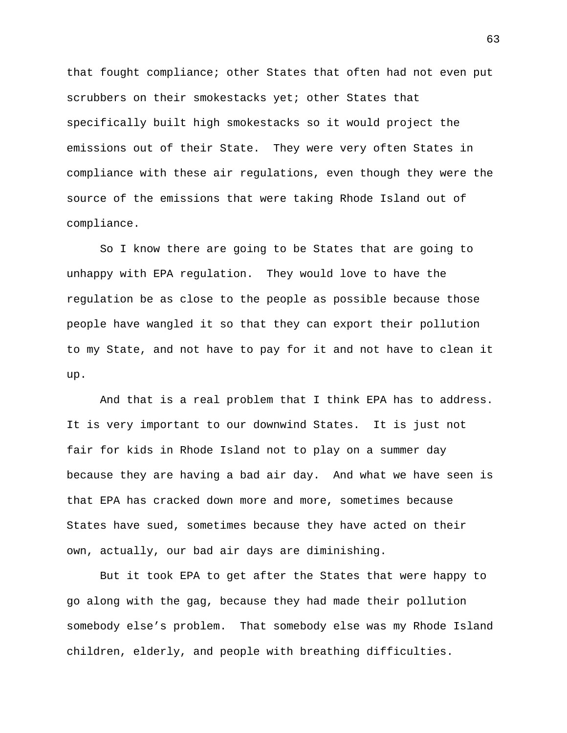that fought compliance; other States that often had not even put scrubbers on their smokestacks yet; other States that specifically built high smokestacks so it would project the emissions out of their State. They were very often States in compliance with these air regulations, even though they were the source of the emissions that were taking Rhode Island out of compliance.

So I know there are going to be States that are going to unhappy with EPA regulation. They would love to have the regulation be as close to the people as possible because those people have wangled it so that they can export their pollution to my State, and not have to pay for it and not have to clean it up.

And that is a real problem that I think EPA has to address. It is very important to our downwind States. It is just not fair for kids in Rhode Island not to play on a summer day because they are having a bad air day. And what we have seen is that EPA has cracked down more and more, sometimes because States have sued, sometimes because they have acted on their own, actually, our bad air days are diminishing.

But it took EPA to get after the States that were happy to go along with the gag, because they had made their pollution somebody else's problem. That somebody else was my Rhode Island children, elderly, and people with breathing difficulties.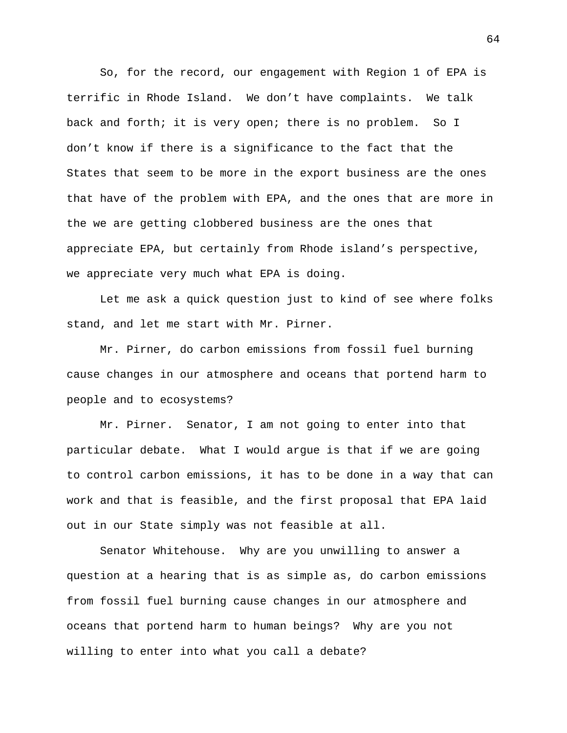So, for the record, our engagement with Region 1 of EPA is terrific in Rhode Island. We don't have complaints. We talk back and forth; it is very open; there is no problem. So I don't know if there is a significance to the fact that the States that seem to be more in the export business are the ones that have of the problem with EPA, and the ones that are more in the we are getting clobbered business are the ones that appreciate EPA, but certainly from Rhode island's perspective, we appreciate very much what EPA is doing.

Let me ask a quick question just to kind of see where folks stand, and let me start with Mr. Pirner.

Mr. Pirner, do carbon emissions from fossil fuel burning cause changes in our atmosphere and oceans that portend harm to people and to ecosystems?

Mr. Pirner. Senator, I am not going to enter into that particular debate. What I would argue is that if we are going to control carbon emissions, it has to be done in a way that can work and that is feasible, and the first proposal that EPA laid out in our State simply was not feasible at all.

Senator Whitehouse. Why are you unwilling to answer a question at a hearing that is as simple as, do carbon emissions from fossil fuel burning cause changes in our atmosphere and oceans that portend harm to human beings? Why are you not willing to enter into what you call a debate?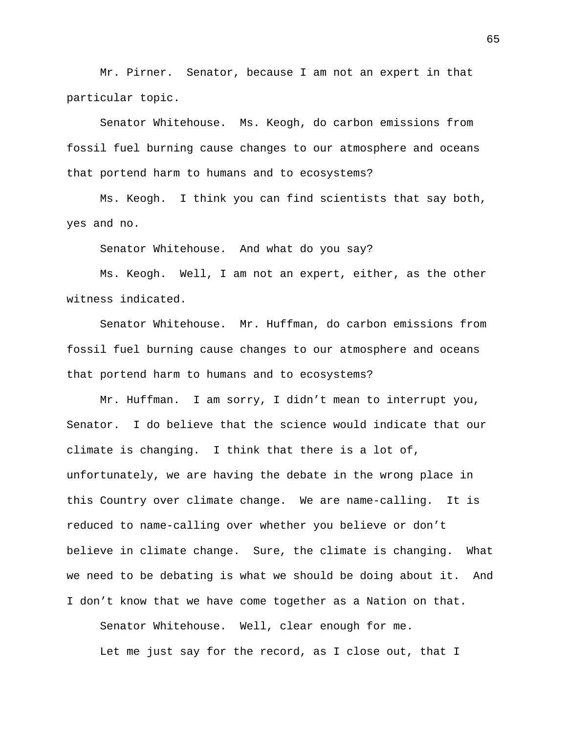Mr. Pirner. Senator, because I am not an expert in that particular topic.

Senator Whitehouse. Ms. Keogh, do carbon emissions from fossil fuel burning cause changes to our atmosphere and oceans that portend harm to humans and to ecosystems?

Ms. Keogh. I think you can find scientists that say both, yes and no.

Senator Whitehouse. And what do you say?

Ms. Keogh. Well, I am not an expert, either, as the other witness indicated.

Senator Whitehouse. Mr. Huffman, do carbon emissions from fossil fuel burning cause changes to our atmosphere and oceans that portend harm to humans and to ecosystems?

Mr. Huffman. I am sorry, I didn't mean to interrupt you, Senator. I do believe that the science would indicate that our climate is changing. I think that there is a lot of, unfortunately, we are having the debate in the wrong place in this Country over climate change. We are name-calling. It is reduced to name-calling over whether you believe or don't believe in climate change. Sure, the climate is changing. What we need to be debating is what we should be doing about it. And I don't know that we have come together as a Nation on that.

Senator Whitehouse. Well, clear enough for me. Let me just say for the record, as I close out, that I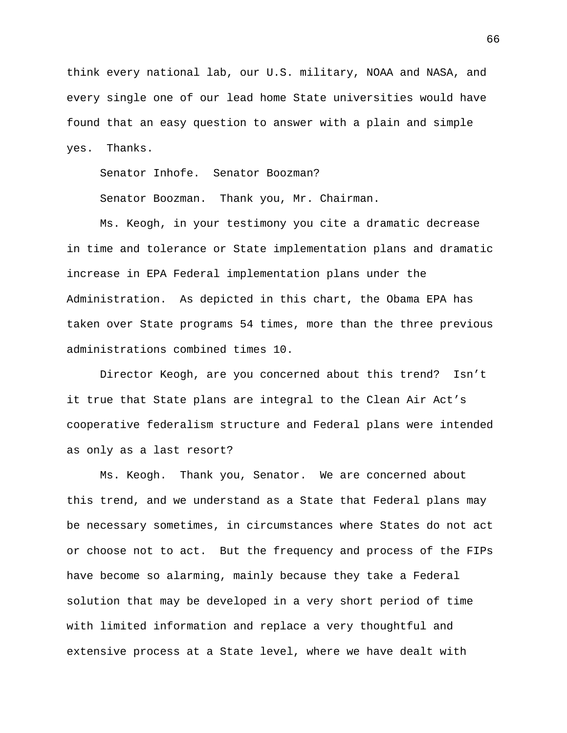think every national lab, our U.S. military, NOAA and NASA, and every single one of our lead home State universities would have found that an easy question to answer with a plain and simple yes. Thanks.

Senator Inhofe. Senator Boozman?

Senator Boozman. Thank you, Mr. Chairman.

Ms. Keogh, in your testimony you cite a dramatic decrease in time and tolerance or State implementation plans and dramatic increase in EPA Federal implementation plans under the Administration. As depicted in this chart, the Obama EPA has taken over State programs 54 times, more than the three previous administrations combined times 10.

Director Keogh, are you concerned about this trend? Isn't it true that State plans are integral to the Clean Air Act's cooperative federalism structure and Federal plans were intended as only as a last resort?

Ms. Keogh. Thank you, Senator. We are concerned about this trend, and we understand as a State that Federal plans may be necessary sometimes, in circumstances where States do not act or choose not to act. But the frequency and process of the FIPs have become so alarming, mainly because they take a Federal solution that may be developed in a very short period of time with limited information and replace a very thoughtful and extensive process at a State level, where we have dealt with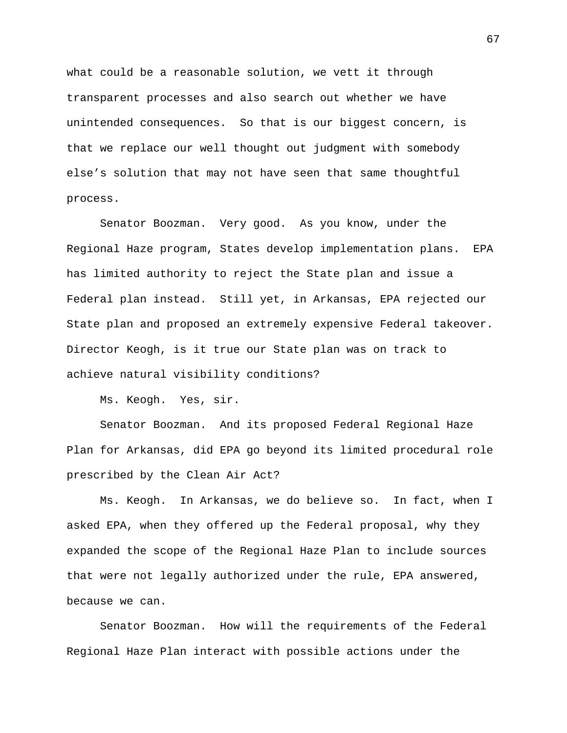what could be a reasonable solution, we vett it through transparent processes and also search out whether we have unintended consequences. So that is our biggest concern, is that we replace our well thought out judgment with somebody else's solution that may not have seen that same thoughtful process.

Senator Boozman. Very good. As you know, under the Regional Haze program, States develop implementation plans. EPA has limited authority to reject the State plan and issue a Federal plan instead. Still yet, in Arkansas, EPA rejected our State plan and proposed an extremely expensive Federal takeover. Director Keogh, is it true our State plan was on track to achieve natural visibility conditions?

Ms. Keogh. Yes, sir.

Senator Boozman. And its proposed Federal Regional Haze Plan for Arkansas, did EPA go beyond its limited procedural role prescribed by the Clean Air Act?

Ms. Keogh. In Arkansas, we do believe so. In fact, when I asked EPA, when they offered up the Federal proposal, why they expanded the scope of the Regional Haze Plan to include sources that were not legally authorized under the rule, EPA answered, because we can.

Senator Boozman. How will the requirements of the Federal Regional Haze Plan interact with possible actions under the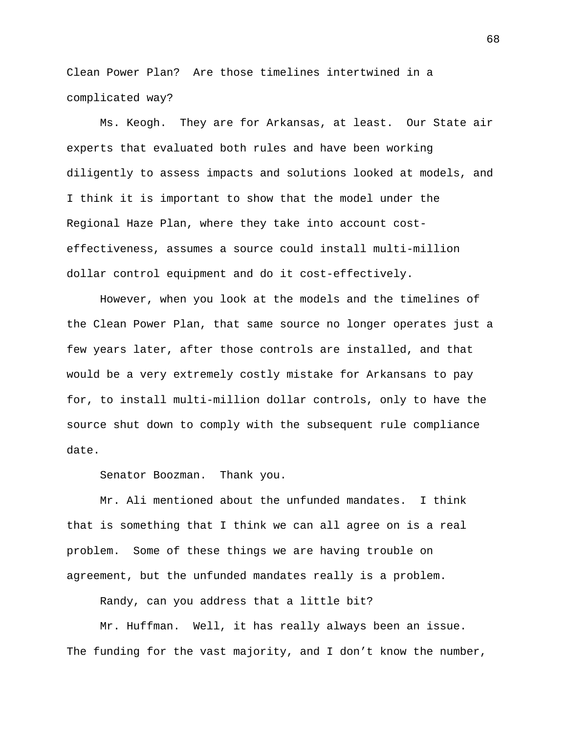Clean Power Plan? Are those timelines intertwined in a complicated way?

Ms. Keogh. They are for Arkansas, at least. Our State air experts that evaluated both rules and have been working diligently to assess impacts and solutions looked at models, and I think it is important to show that the model under the Regional Haze Plan, where they take into account costeffectiveness, assumes a source could install multi-million dollar control equipment and do it cost-effectively.

However, when you look at the models and the timelines of the Clean Power Plan, that same source no longer operates just a few years later, after those controls are installed, and that would be a very extremely costly mistake for Arkansans to pay for, to install multi-million dollar controls, only to have the source shut down to comply with the subsequent rule compliance date.

Senator Boozman. Thank you.

Mr. Ali mentioned about the unfunded mandates. I think that is something that I think we can all agree on is a real problem. Some of these things we are having trouble on agreement, but the unfunded mandates really is a problem.

Randy, can you address that a little bit?

Mr. Huffman. Well, it has really always been an issue. The funding for the vast majority, and I don't know the number,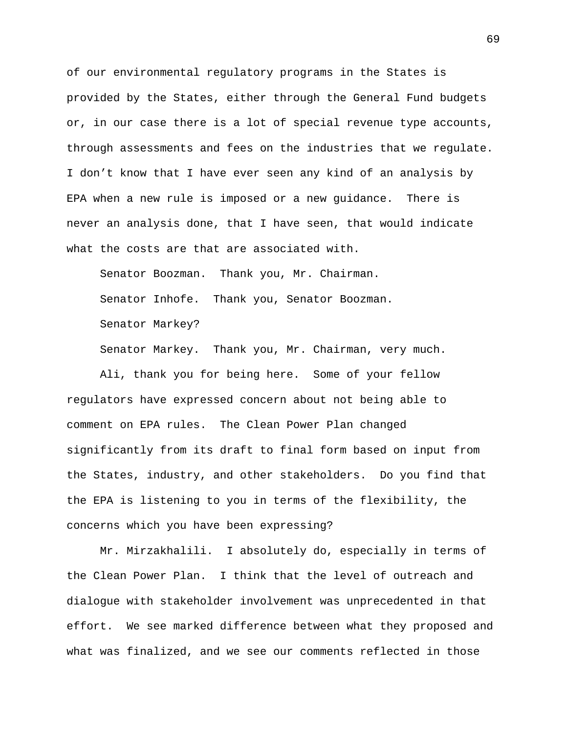of our environmental regulatory programs in the States is provided by the States, either through the General Fund budgets or, in our case there is a lot of special revenue type accounts, through assessments and fees on the industries that we regulate. I don't know that I have ever seen any kind of an analysis by EPA when a new rule is imposed or a new guidance. There is never an analysis done, that I have seen, that would indicate what the costs are that are associated with.

Senator Boozman. Thank you, Mr. Chairman. Senator Inhofe. Thank you, Senator Boozman. Senator Markey?

Senator Markey. Thank you, Mr. Chairman, very much.

Ali, thank you for being here. Some of your fellow regulators have expressed concern about not being able to comment on EPA rules. The Clean Power Plan changed significantly from its draft to final form based on input from the States, industry, and other stakeholders. Do you find that the EPA is listening to you in terms of the flexibility, the concerns which you have been expressing?

Mr. Mirzakhalili. I absolutely do, especially in terms of the Clean Power Plan. I think that the level of outreach and dialogue with stakeholder involvement was unprecedented in that effort. We see marked difference between what they proposed and what was finalized, and we see our comments reflected in those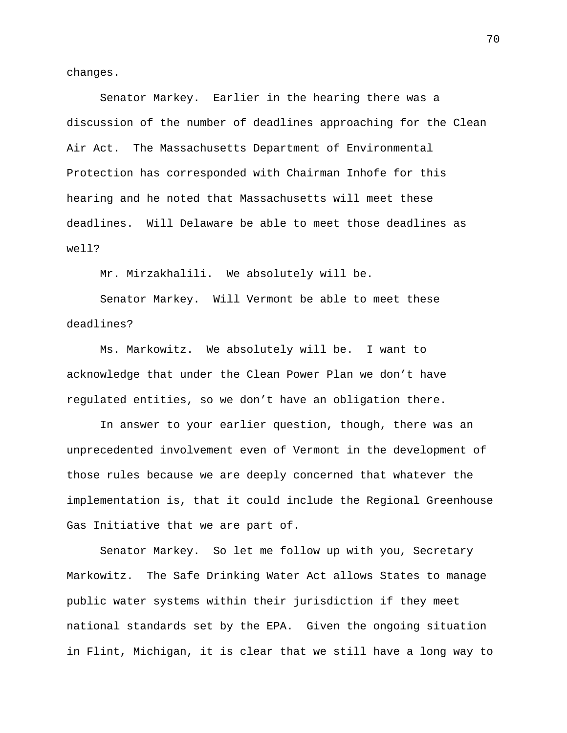changes.

Senator Markey. Earlier in the hearing there was a discussion of the number of deadlines approaching for the Clean Air Act. The Massachusetts Department of Environmental Protection has corresponded with Chairman Inhofe for this hearing and he noted that Massachusetts will meet these deadlines. Will Delaware be able to meet those deadlines as well?

Mr. Mirzakhalili. We absolutely will be.

Senator Markey. Will Vermont be able to meet these deadlines?

Ms. Markowitz. We absolutely will be. I want to acknowledge that under the Clean Power Plan we don't have regulated entities, so we don't have an obligation there.

In answer to your earlier question, though, there was an unprecedented involvement even of Vermont in the development of those rules because we are deeply concerned that whatever the implementation is, that it could include the Regional Greenhouse Gas Initiative that we are part of.

Senator Markey. So let me follow up with you, Secretary Markowitz. The Safe Drinking Water Act allows States to manage public water systems within their jurisdiction if they meet national standards set by the EPA. Given the ongoing situation in Flint, Michigan, it is clear that we still have a long way to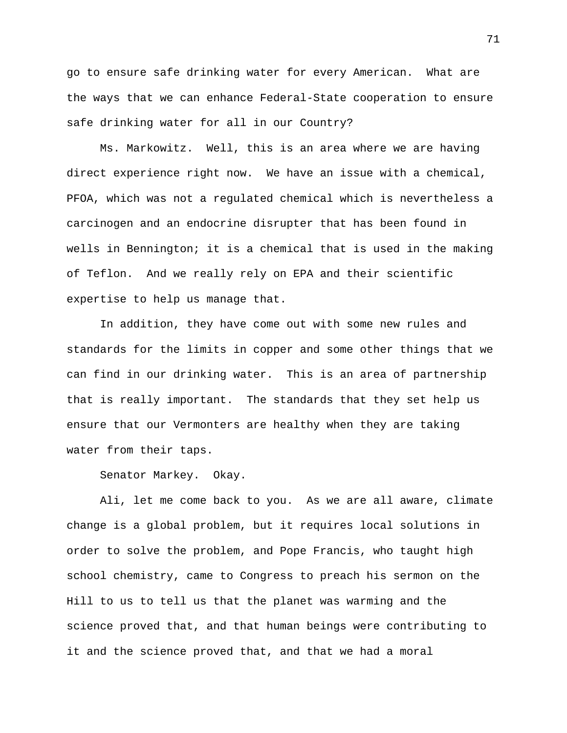go to ensure safe drinking water for every American. What are the ways that we can enhance Federal-State cooperation to ensure safe drinking water for all in our Country?

Ms. Markowitz. Well, this is an area where we are having direct experience right now. We have an issue with a chemical, PFOA, which was not a regulated chemical which is nevertheless a carcinogen and an endocrine disrupter that has been found in wells in Bennington; it is a chemical that is used in the making of Teflon. And we really rely on EPA and their scientific expertise to help us manage that.

In addition, they have come out with some new rules and standards for the limits in copper and some other things that we can find in our drinking water. This is an area of partnership that is really important. The standards that they set help us ensure that our Vermonters are healthy when they are taking water from their taps.

Senator Markey. Okay.

Ali, let me come back to you. As we are all aware, climate change is a global problem, but it requires local solutions in order to solve the problem, and Pope Francis, who taught high school chemistry, came to Congress to preach his sermon on the Hill to us to tell us that the planet was warming and the science proved that, and that human beings were contributing to it and the science proved that, and that we had a moral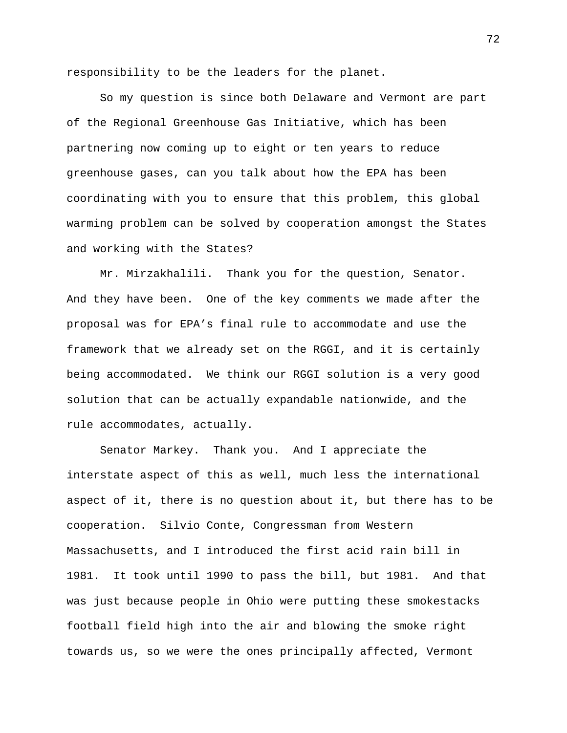responsibility to be the leaders for the planet.

So my question is since both Delaware and Vermont are part of the Regional Greenhouse Gas Initiative, which has been partnering now coming up to eight or ten years to reduce greenhouse gases, can you talk about how the EPA has been coordinating with you to ensure that this problem, this global warming problem can be solved by cooperation amongst the States and working with the States?

Mr. Mirzakhalili. Thank you for the question, Senator. And they have been. One of the key comments we made after the proposal was for EPA's final rule to accommodate and use the framework that we already set on the RGGI, and it is certainly being accommodated. We think our RGGI solution is a very good solution that can be actually expandable nationwide, and the rule accommodates, actually.

Senator Markey. Thank you. And I appreciate the interstate aspect of this as well, much less the international aspect of it, there is no question about it, but there has to be cooperation. Silvio Conte, Congressman from Western Massachusetts, and I introduced the first acid rain bill in 1981. It took until 1990 to pass the bill, but 1981. And that was just because people in Ohio were putting these smokestacks football field high into the air and blowing the smoke right towards us, so we were the ones principally affected, Vermont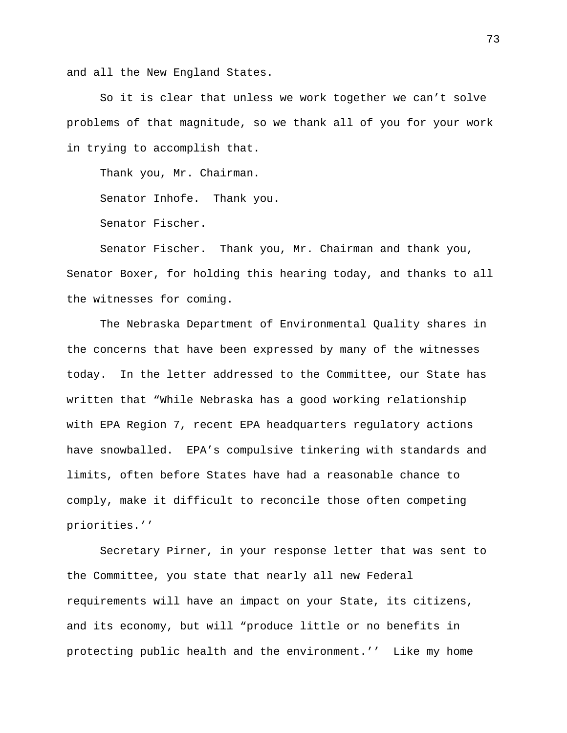and all the New England States.

So it is clear that unless we work together we can't solve problems of that magnitude, so we thank all of you for your work in trying to accomplish that.

Thank you, Mr. Chairman.

Senator Inhofe. Thank you.

Senator Fischer.

Senator Fischer. Thank you, Mr. Chairman and thank you, Senator Boxer, for holding this hearing today, and thanks to all the witnesses for coming.

The Nebraska Department of Environmental Quality shares in the concerns that have been expressed by many of the witnesses today. In the letter addressed to the Committee, our State has written that "While Nebraska has a good working relationship with EPA Region 7, recent EPA headquarters regulatory actions have snowballed. EPA's compulsive tinkering with standards and limits, often before States have had a reasonable chance to comply, make it difficult to reconcile those often competing priorities.''

Secretary Pirner, in your response letter that was sent to the Committee, you state that nearly all new Federal requirements will have an impact on your State, its citizens, and its economy, but will "produce little or no benefits in protecting public health and the environment.'' Like my home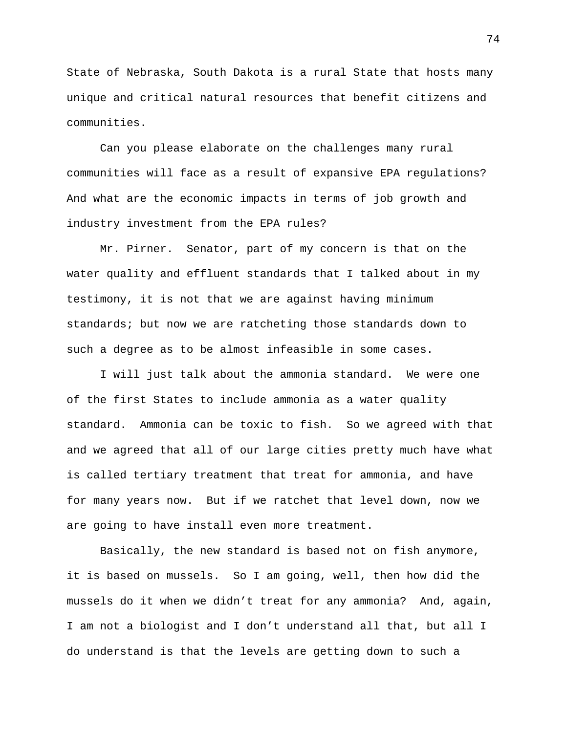State of Nebraska, South Dakota is a rural State that hosts many unique and critical natural resources that benefit citizens and communities.

Can you please elaborate on the challenges many rural communities will face as a result of expansive EPA regulations? And what are the economic impacts in terms of job growth and industry investment from the EPA rules?

Mr. Pirner. Senator, part of my concern is that on the water quality and effluent standards that I talked about in my testimony, it is not that we are against having minimum standards; but now we are ratcheting those standards down to such a degree as to be almost infeasible in some cases.

I will just talk about the ammonia standard. We were one of the first States to include ammonia as a water quality standard. Ammonia can be toxic to fish. So we agreed with that and we agreed that all of our large cities pretty much have what is called tertiary treatment that treat for ammonia, and have for many years now. But if we ratchet that level down, now we are going to have install even more treatment.

Basically, the new standard is based not on fish anymore, it is based on mussels. So I am going, well, then how did the mussels do it when we didn't treat for any ammonia? And, again, I am not a biologist and I don't understand all that, but all I do understand is that the levels are getting down to such a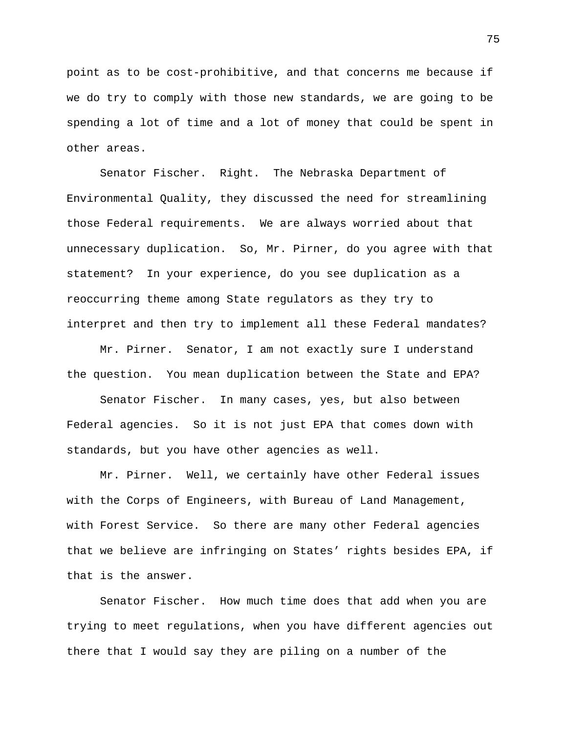point as to be cost-prohibitive, and that concerns me because if we do try to comply with those new standards, we are going to be spending a lot of time and a lot of money that could be spent in other areas.

Senator Fischer. Right. The Nebraska Department of Environmental Quality, they discussed the need for streamlining those Federal requirements. We are always worried about that unnecessary duplication. So, Mr. Pirner, do you agree with that statement? In your experience, do you see duplication as a reoccurring theme among State regulators as they try to interpret and then try to implement all these Federal mandates?

Mr. Pirner. Senator, I am not exactly sure I understand the question. You mean duplication between the State and EPA?

Senator Fischer. In many cases, yes, but also between Federal agencies. So it is not just EPA that comes down with standards, but you have other agencies as well.

Mr. Pirner. Well, we certainly have other Federal issues with the Corps of Engineers, with Bureau of Land Management, with Forest Service. So there are many other Federal agencies that we believe are infringing on States' rights besides EPA, if that is the answer.

Senator Fischer. How much time does that add when you are trying to meet regulations, when you have different agencies out there that I would say they are piling on a number of the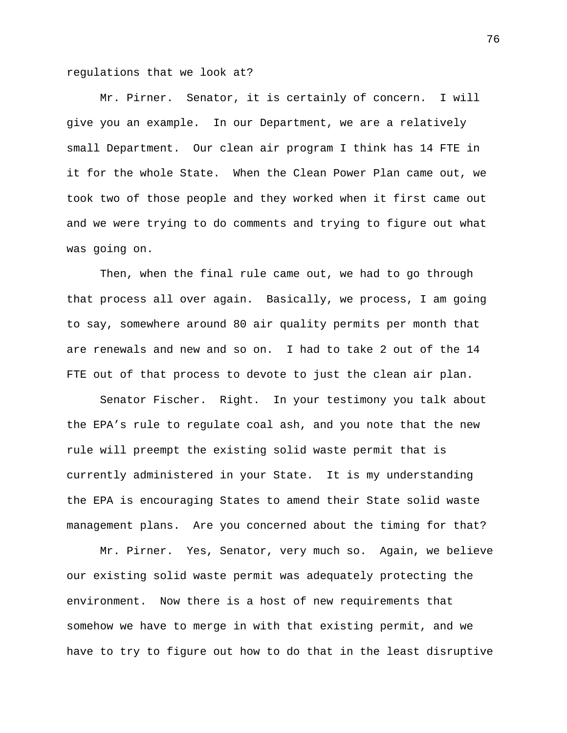regulations that we look at?

Mr. Pirner. Senator, it is certainly of concern. I will give you an example. In our Department, we are a relatively small Department. Our clean air program I think has 14 FTE in it for the whole State. When the Clean Power Plan came out, we took two of those people and they worked when it first came out and we were trying to do comments and trying to figure out what was going on.

Then, when the final rule came out, we had to go through that process all over again. Basically, we process, I am going to say, somewhere around 80 air quality permits per month that are renewals and new and so on. I had to take 2 out of the 14 FTE out of that process to devote to just the clean air plan.

Senator Fischer. Right. In your testimony you talk about the EPA's rule to regulate coal ash, and you note that the new rule will preempt the existing solid waste permit that is currently administered in your State. It is my understanding the EPA is encouraging States to amend their State solid waste management plans. Are you concerned about the timing for that?

Mr. Pirner. Yes, Senator, very much so. Again, we believe our existing solid waste permit was adequately protecting the environment. Now there is a host of new requirements that somehow we have to merge in with that existing permit, and we have to try to figure out how to do that in the least disruptive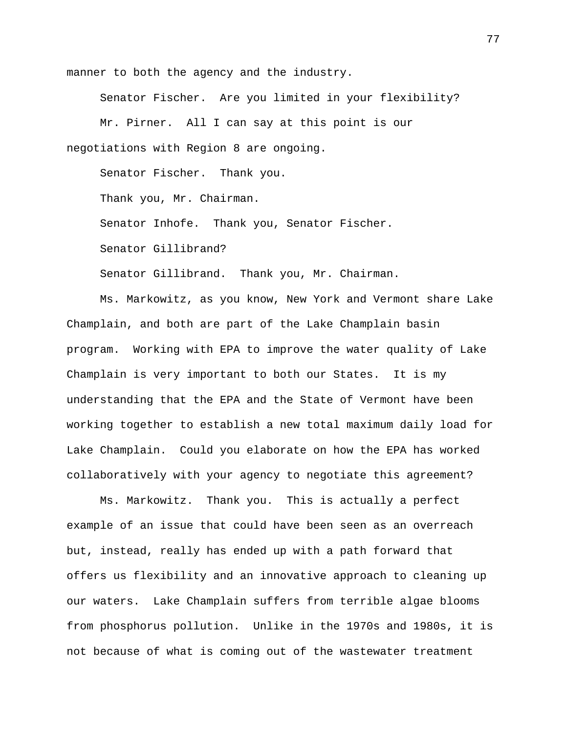manner to both the agency and the industry.

Senator Fischer. Are you limited in your flexibility? Mr. Pirner. All I can say at this point is our negotiations with Region 8 are ongoing.

Senator Fischer. Thank you.

Thank you, Mr. Chairman.

Senator Inhofe. Thank you, Senator Fischer.

Senator Gillibrand?

Senator Gillibrand. Thank you, Mr. Chairman.

Ms. Markowitz, as you know, New York and Vermont share Lake Champlain, and both are part of the Lake Champlain basin program. Working with EPA to improve the water quality of Lake Champlain is very important to both our States. It is my understanding that the EPA and the State of Vermont have been working together to establish a new total maximum daily load for Lake Champlain. Could you elaborate on how the EPA has worked collaboratively with your agency to negotiate this agreement?

Ms. Markowitz. Thank you. This is actually a perfect example of an issue that could have been seen as an overreach but, instead, really has ended up with a path forward that offers us flexibility and an innovative approach to cleaning up our waters. Lake Champlain suffers from terrible algae blooms from phosphorus pollution. Unlike in the 1970s and 1980s, it is not because of what is coming out of the wastewater treatment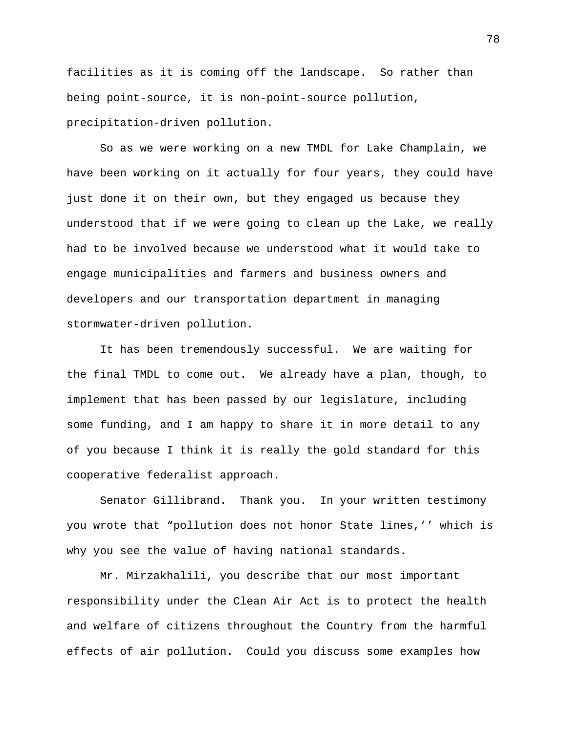facilities as it is coming off the landscape. So rather than being point-source, it is non-point-source pollution, precipitation-driven pollution.

So as we were working on a new TMDL for Lake Champlain, we have been working on it actually for four years, they could have just done it on their own, but they engaged us because they understood that if we were going to clean up the Lake, we really had to be involved because we understood what it would take to engage municipalities and farmers and business owners and developers and our transportation department in managing stormwater-driven pollution.

It has been tremendously successful. We are waiting for the final TMDL to come out. We already have a plan, though, to implement that has been passed by our legislature, including some funding, and I am happy to share it in more detail to any of you because I think it is really the gold standard for this cooperative federalist approach.

Senator Gillibrand. Thank you. In your written testimony you wrote that "pollution does not honor State lines,'' which is why you see the value of having national standards.

Mr. Mirzakhalili, you describe that our most important responsibility under the Clean Air Act is to protect the health and welfare of citizens throughout the Country from the harmful effects of air pollution. Could you discuss some examples how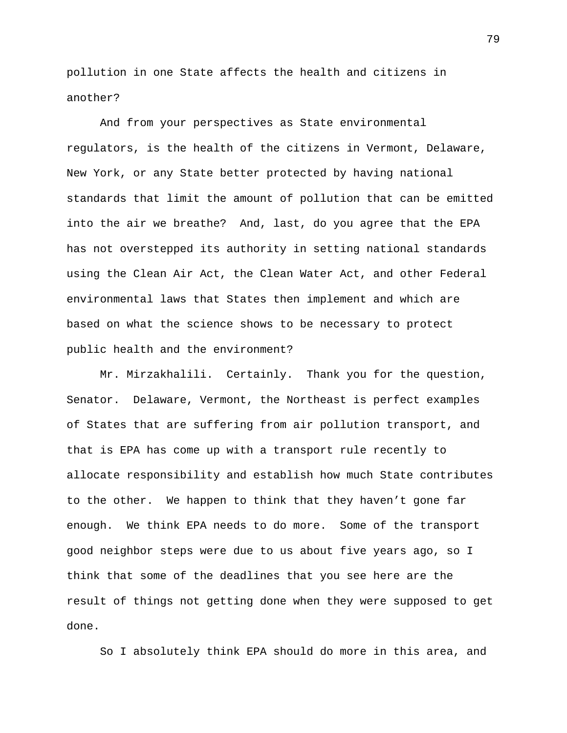pollution in one State affects the health and citizens in another?

And from your perspectives as State environmental regulators, is the health of the citizens in Vermont, Delaware, New York, or any State better protected by having national standards that limit the amount of pollution that can be emitted into the air we breathe? And, last, do you agree that the EPA has not overstepped its authority in setting national standards using the Clean Air Act, the Clean Water Act, and other Federal environmental laws that States then implement and which are based on what the science shows to be necessary to protect public health and the environment?

Mr. Mirzakhalili. Certainly. Thank you for the question, Senator. Delaware, Vermont, the Northeast is perfect examples of States that are suffering from air pollution transport, and that is EPA has come up with a transport rule recently to allocate responsibility and establish how much State contributes to the other. We happen to think that they haven't gone far enough. We think EPA needs to do more. Some of the transport good neighbor steps were due to us about five years ago, so I think that some of the deadlines that you see here are the result of things not getting done when they were supposed to get done.

So I absolutely think EPA should do more in this area, and

79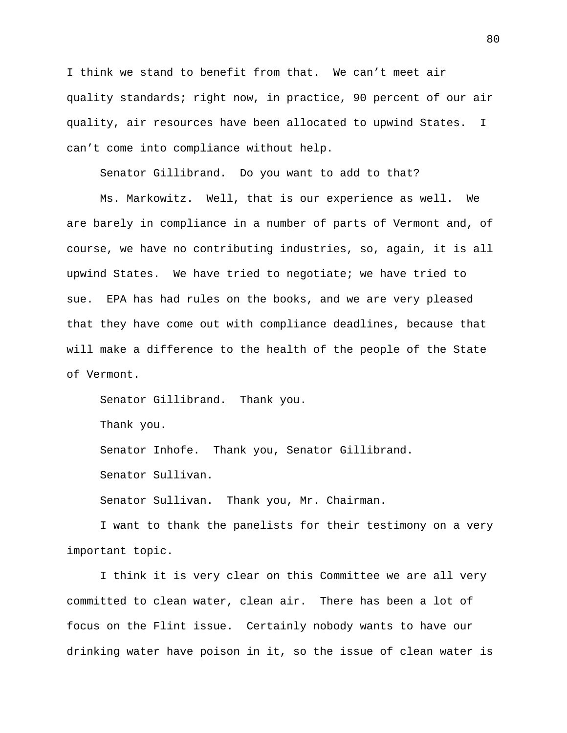I think we stand to benefit from that. We can't meet air quality standards; right now, in practice, 90 percent of our air quality, air resources have been allocated to upwind States. I can't come into compliance without help.

Senator Gillibrand. Do you want to add to that?

Ms. Markowitz. Well, that is our experience as well. We are barely in compliance in a number of parts of Vermont and, of course, we have no contributing industries, so, again, it is all upwind States. We have tried to negotiate; we have tried to sue. EPA has had rules on the books, and we are very pleased that they have come out with compliance deadlines, because that will make a difference to the health of the people of the State of Vermont.

Senator Gillibrand. Thank you.

Thank you.

Senator Inhofe. Thank you, Senator Gillibrand.

Senator Sullivan.

Senator Sullivan. Thank you, Mr. Chairman.

I want to thank the panelists for their testimony on a very important topic.

I think it is very clear on this Committee we are all very committed to clean water, clean air. There has been a lot of focus on the Flint issue. Certainly nobody wants to have our drinking water have poison in it, so the issue of clean water is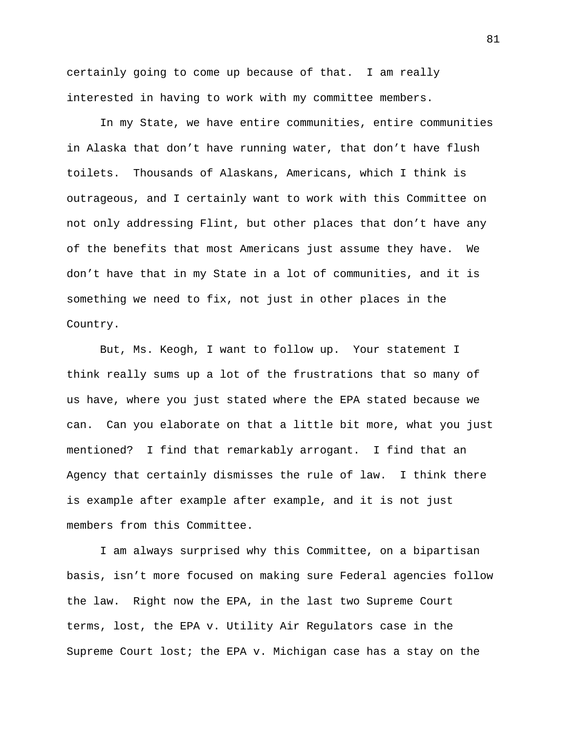certainly going to come up because of that. I am really interested in having to work with my committee members.

In my State, we have entire communities, entire communities in Alaska that don't have running water, that don't have flush toilets. Thousands of Alaskans, Americans, which I think is outrageous, and I certainly want to work with this Committee on not only addressing Flint, but other places that don't have any of the benefits that most Americans just assume they have. We don't have that in my State in a lot of communities, and it is something we need to fix, not just in other places in the Country.

But, Ms. Keogh, I want to follow up. Your statement I think really sums up a lot of the frustrations that so many of us have, where you just stated where the EPA stated because we can. Can you elaborate on that a little bit more, what you just mentioned? I find that remarkably arrogant. I find that an Agency that certainly dismisses the rule of law. I think there is example after example after example, and it is not just members from this Committee.

I am always surprised why this Committee, on a bipartisan basis, isn't more focused on making sure Federal agencies follow the law. Right now the EPA, in the last two Supreme Court terms, lost, the EPA v. Utility Air Regulators case in the Supreme Court lost; the EPA v. Michigan case has a stay on the

81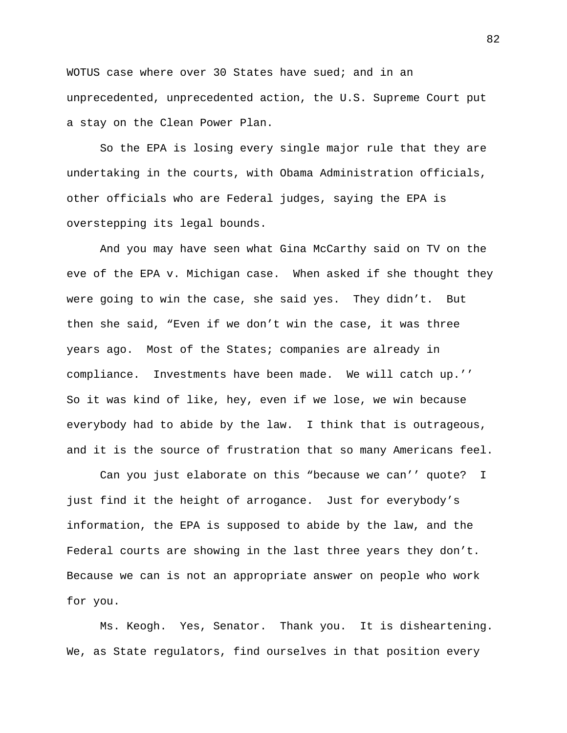WOTUS case where over 30 States have sued; and in an unprecedented, unprecedented action, the U.S. Supreme Court put a stay on the Clean Power Plan.

So the EPA is losing every single major rule that they are undertaking in the courts, with Obama Administration officials, other officials who are Federal judges, saying the EPA is overstepping its legal bounds.

And you may have seen what Gina McCarthy said on TV on the eve of the EPA v. Michigan case. When asked if she thought they were going to win the case, she said yes. They didn't. But then she said, "Even if we don't win the case, it was three years ago. Most of the States; companies are already in compliance. Investments have been made. We will catch up.'' So it was kind of like, hey, even if we lose, we win because everybody had to abide by the law. I think that is outrageous, and it is the source of frustration that so many Americans feel.

Can you just elaborate on this "because we can'' quote? I just find it the height of arrogance. Just for everybody's information, the EPA is supposed to abide by the law, and the Federal courts are showing in the last three years they don't. Because we can is not an appropriate answer on people who work for you.

Ms. Keogh. Yes, Senator. Thank you. It is disheartening. We, as State regulators, find ourselves in that position every

82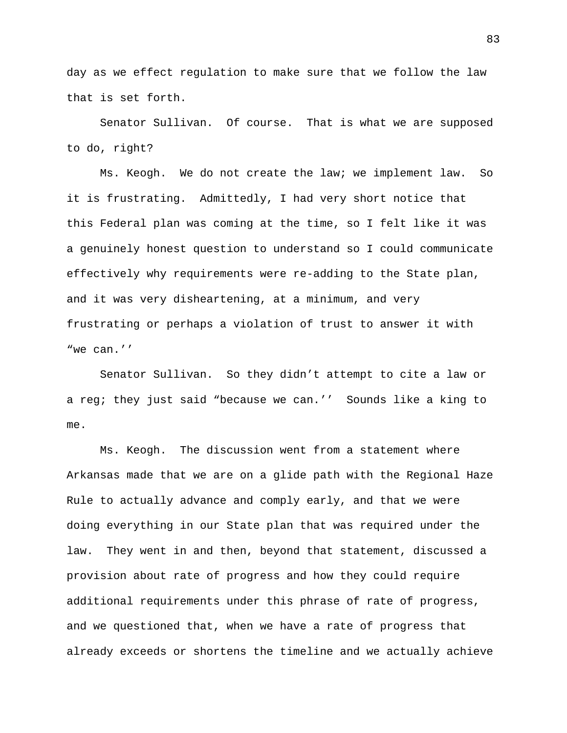day as we effect regulation to make sure that we follow the law that is set forth.

Senator Sullivan. Of course. That is what we are supposed to do, right?

Ms. Keogh. We do not create the law; we implement law. So it is frustrating. Admittedly, I had very short notice that this Federal plan was coming at the time, so I felt like it was a genuinely honest question to understand so I could communicate effectively why requirements were re-adding to the State plan, and it was very disheartening, at a minimum, and very frustrating or perhaps a violation of trust to answer it with "we can.''

Senator Sullivan. So they didn't attempt to cite a law or a reg; they just said "because we can.'' Sounds like a king to me.

Ms. Keogh. The discussion went from a statement where Arkansas made that we are on a glide path with the Regional Haze Rule to actually advance and comply early, and that we were doing everything in our State plan that was required under the law. They went in and then, beyond that statement, discussed a provision about rate of progress and how they could require additional requirements under this phrase of rate of progress, and we questioned that, when we have a rate of progress that already exceeds or shortens the timeline and we actually achieve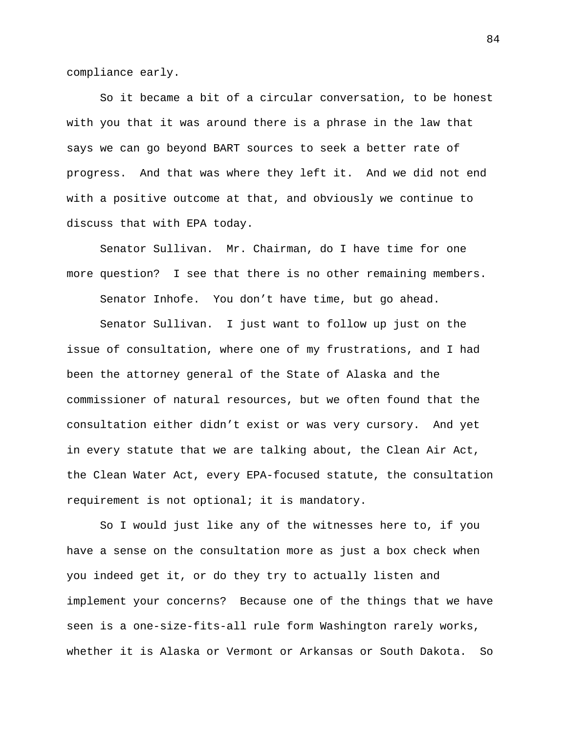compliance early.

So it became a bit of a circular conversation, to be honest with you that it was around there is a phrase in the law that says we can go beyond BART sources to seek a better rate of progress. And that was where they left it. And we did not end with a positive outcome at that, and obviously we continue to discuss that with EPA today.

Senator Sullivan. Mr. Chairman, do I have time for one more question? I see that there is no other remaining members.

Senator Inhofe. You don't have time, but go ahead.

Senator Sullivan. I just want to follow up just on the issue of consultation, where one of my frustrations, and I had been the attorney general of the State of Alaska and the commissioner of natural resources, but we often found that the consultation either didn't exist or was very cursory. And yet in every statute that we are talking about, the Clean Air Act, the Clean Water Act, every EPA-focused statute, the consultation requirement is not optional; it is mandatory.

So I would just like any of the witnesses here to, if you have a sense on the consultation more as just a box check when you indeed get it, or do they try to actually listen and implement your concerns? Because one of the things that we have seen is a one-size-fits-all rule form Washington rarely works, whether it is Alaska or Vermont or Arkansas or South Dakota. So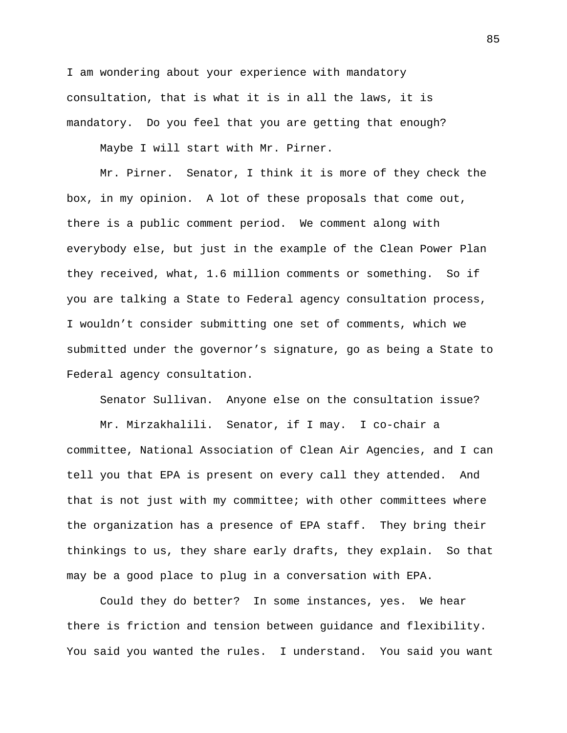I am wondering about your experience with mandatory consultation, that is what it is in all the laws, it is mandatory. Do you feel that you are getting that enough?

Maybe I will start with Mr. Pirner.

Mr. Pirner. Senator, I think it is more of they check the box, in my opinion. A lot of these proposals that come out, there is a public comment period. We comment along with everybody else, but just in the example of the Clean Power Plan they received, what, 1.6 million comments or something. So if you are talking a State to Federal agency consultation process, I wouldn't consider submitting one set of comments, which we submitted under the governor's signature, go as being a State to Federal agency consultation.

Senator Sullivan. Anyone else on the consultation issue?

Mr. Mirzakhalili. Senator, if I may. I co-chair a committee, National Association of Clean Air Agencies, and I can tell you that EPA is present on every call they attended. And that is not just with my committee; with other committees where the organization has a presence of EPA staff. They bring their thinkings to us, they share early drafts, they explain. So that may be a good place to plug in a conversation with EPA.

Could they do better? In some instances, yes. We hear there is friction and tension between guidance and flexibility. You said you wanted the rules. I understand. You said you want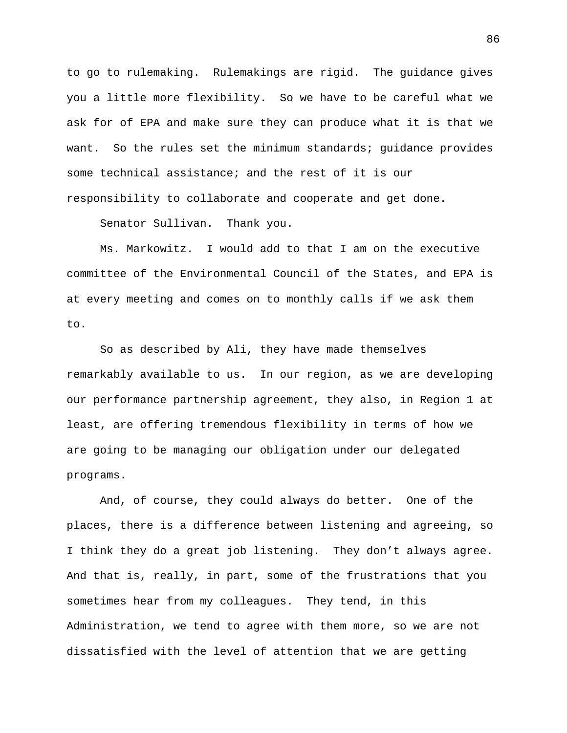to go to rulemaking. Rulemakings are rigid. The guidance gives you a little more flexibility. So we have to be careful what we ask for of EPA and make sure they can produce what it is that we want. So the rules set the minimum standards; quidance provides some technical assistance; and the rest of it is our responsibility to collaborate and cooperate and get done.

Senator Sullivan. Thank you.

Ms. Markowitz. I would add to that I am on the executive committee of the Environmental Council of the States, and EPA is at every meeting and comes on to monthly calls if we ask them to.

So as described by Ali, they have made themselves remarkably available to us. In our region, as we are developing our performance partnership agreement, they also, in Region 1 at least, are offering tremendous flexibility in terms of how we are going to be managing our obligation under our delegated programs.

And, of course, they could always do better. One of the places, there is a difference between listening and agreeing, so I think they do a great job listening. They don't always agree. And that is, really, in part, some of the frustrations that you sometimes hear from my colleagues. They tend, in this Administration, we tend to agree with them more, so we are not dissatisfied with the level of attention that we are getting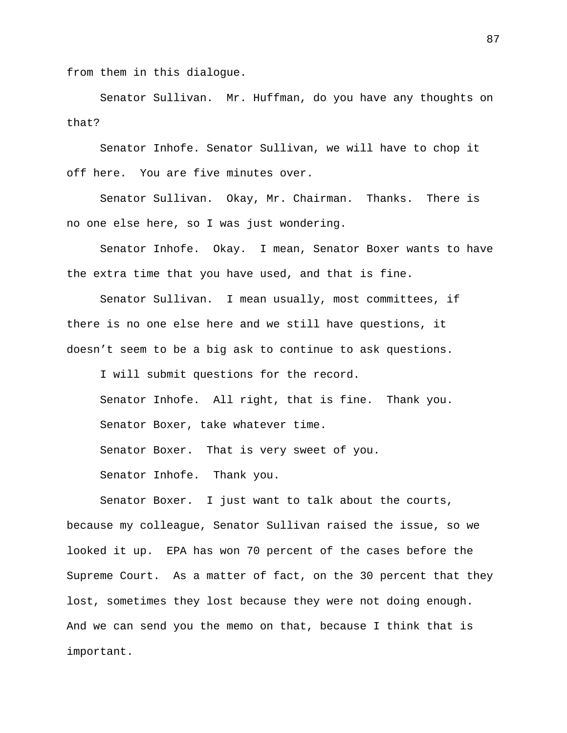from them in this dialogue.

Senator Sullivan. Mr. Huffman, do you have any thoughts on that?

Senator Inhofe. Senator Sullivan, we will have to chop it off here. You are five minutes over.

Senator Sullivan. Okay, Mr. Chairman. Thanks. There is no one else here, so I was just wondering.

Senator Inhofe. Okay. I mean, Senator Boxer wants to have the extra time that you have used, and that is fine.

Senator Sullivan. I mean usually, most committees, if there is no one else here and we still have questions, it doesn't seem to be a big ask to continue to ask questions.

I will submit questions for the record. Senator Inhofe. All right, that is fine. Thank you. Senator Boxer, take whatever time. Senator Boxer. That is very sweet of you. Senator Inhofe. Thank you.

Senator Boxer. I just want to talk about the courts, because my colleague, Senator Sullivan raised the issue, so we looked it up. EPA has won 70 percent of the cases before the Supreme Court. As a matter of fact, on the 30 percent that they lost, sometimes they lost because they were not doing enough. And we can send you the memo on that, because I think that is important.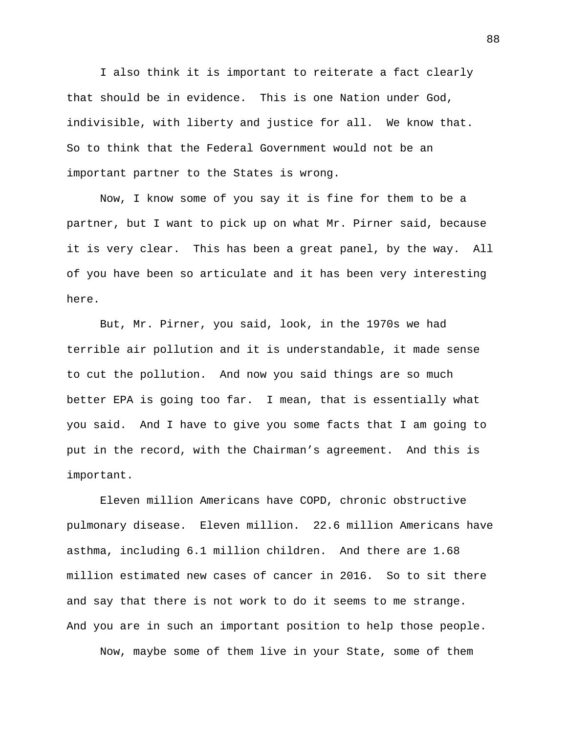I also think it is important to reiterate a fact clearly that should be in evidence. This is one Nation under God, indivisible, with liberty and justice for all. We know that. So to think that the Federal Government would not be an important partner to the States is wrong.

Now, I know some of you say it is fine for them to be a partner, but I want to pick up on what Mr. Pirner said, because it is very clear. This has been a great panel, by the way. All of you have been so articulate and it has been very interesting here.

But, Mr. Pirner, you said, look, in the 1970s we had terrible air pollution and it is understandable, it made sense to cut the pollution. And now you said things are so much better EPA is going too far. I mean, that is essentially what you said. And I have to give you some facts that I am going to put in the record, with the Chairman's agreement. And this is important.

Eleven million Americans have COPD, chronic obstructive pulmonary disease. Eleven million. 22.6 million Americans have asthma, including 6.1 million children. And there are 1.68 million estimated new cases of cancer in 2016. So to sit there and say that there is not work to do it seems to me strange. And you are in such an important position to help those people.

Now, maybe some of them live in your State, some of them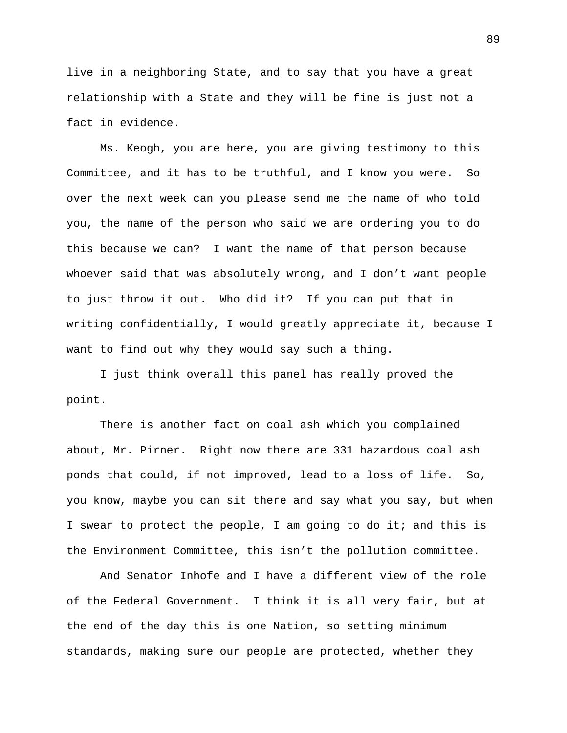live in a neighboring State, and to say that you have a great relationship with a State and they will be fine is just not a fact in evidence.

Ms. Keogh, you are here, you are giving testimony to this Committee, and it has to be truthful, and I know you were. So over the next week can you please send me the name of who told you, the name of the person who said we are ordering you to do this because we can? I want the name of that person because whoever said that was absolutely wrong, and I don't want people to just throw it out. Who did it? If you can put that in writing confidentially, I would greatly appreciate it, because I want to find out why they would say such a thing.

I just think overall this panel has really proved the point.

There is another fact on coal ash which you complained about, Mr. Pirner. Right now there are 331 hazardous coal ash ponds that could, if not improved, lead to a loss of life. So, you know, maybe you can sit there and say what you say, but when I swear to protect the people, I am going to do it; and this is the Environment Committee, this isn't the pollution committee.

And Senator Inhofe and I have a different view of the role of the Federal Government. I think it is all very fair, but at the end of the day this is one Nation, so setting minimum standards, making sure our people are protected, whether they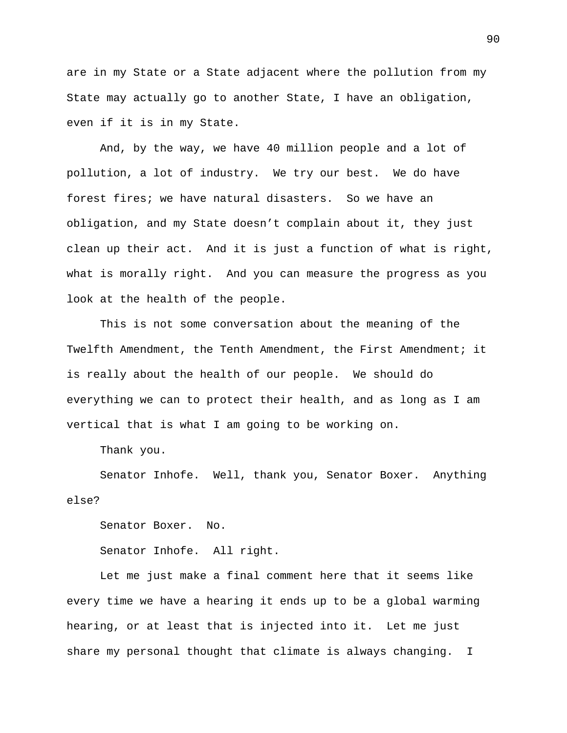are in my State or a State adjacent where the pollution from my State may actually go to another State, I have an obligation, even if it is in my State.

And, by the way, we have 40 million people and a lot of pollution, a lot of industry. We try our best. We do have forest fires; we have natural disasters. So we have an obligation, and my State doesn't complain about it, they just clean up their act. And it is just a function of what is right, what is morally right. And you can measure the progress as you look at the health of the people.

This is not some conversation about the meaning of the Twelfth Amendment, the Tenth Amendment, the First Amendment; it is really about the health of our people. We should do everything we can to protect their health, and as long as I am vertical that is what I am going to be working on.

Thank you.

Senator Inhofe. Well, thank you, Senator Boxer. Anything else?

Senator Boxer. No.

Senator Inhofe. All right.

Let me just make a final comment here that it seems like every time we have a hearing it ends up to be a global warming hearing, or at least that is injected into it. Let me just share my personal thought that climate is always changing. I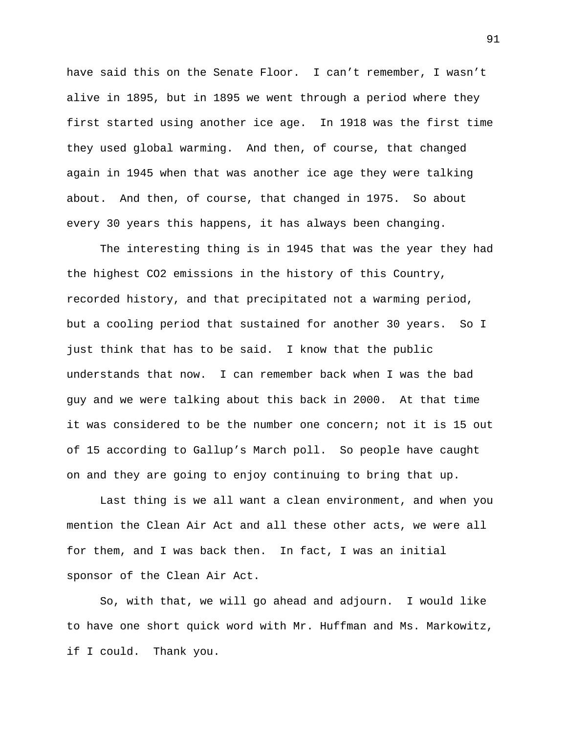have said this on the Senate Floor. I can't remember, I wasn't alive in 1895, but in 1895 we went through a period where they first started using another ice age. In 1918 was the first time they used global warming. And then, of course, that changed again in 1945 when that was another ice age they were talking about. And then, of course, that changed in 1975. So about every 30 years this happens, it has always been changing.

The interesting thing is in 1945 that was the year they had the highest CO2 emissions in the history of this Country, recorded history, and that precipitated not a warming period, but a cooling period that sustained for another 30 years. So I just think that has to be said. I know that the public understands that now. I can remember back when I was the bad guy and we were talking about this back in 2000. At that time it was considered to be the number one concern; not it is 15 out of 15 according to Gallup's March poll. So people have caught on and they are going to enjoy continuing to bring that up.

Last thing is we all want a clean environment, and when you mention the Clean Air Act and all these other acts, we were all for them, and I was back then. In fact, I was an initial sponsor of the Clean Air Act.

So, with that, we will go ahead and adjourn. I would like to have one short quick word with Mr. Huffman and Ms. Markowitz, if I could. Thank you.